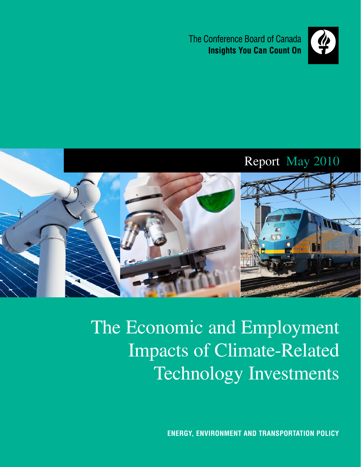The Conference Board of Canada **Insights You Can Count On** 



# Report May 2010



The Economic and Employment Impacts of Climate-Related Technology Investments

**Energy, Environment and Transportation Policy**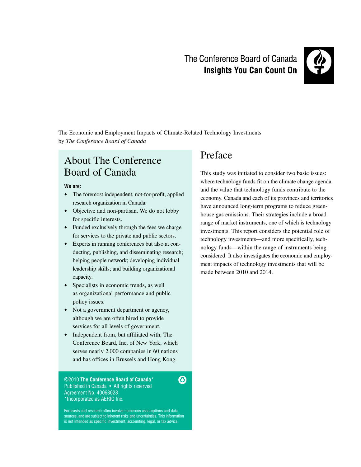# The Conference Board of Canada **Insights You Can Count On**



The Economic and Employment Impacts of Climate-Related Technology Investments by *The Conference Board of Canada*

### About The Conference Board of Canada

#### **We are:**

- The foremost independent, not-for-profit, applied research organization in Canada.
- Objective and non-partisan. We do not lobby for specific interests.
- Funded exclusively through the fees we charge for services to the private and public sectors.
- Experts in running conferences but also at conducting, publishing, and disseminating research; helping people network; developing individual leadership skills; and building organizational capacity.
- Specialists in economic trends, as well as organizational performance and public policy issues.
- Not a government department or agency, although we are often hired to provide services for all levels of government.
- Independent from, but affiliated with, The Conference Board, Inc. of New York, which serves nearly 2,000 companies in 60 nations and has offices in Brussels and Hong Kong.

©2010 **The Conference Board of Canada**\* Published in Canada • All rights reserved Agreement No. 40063028 \*Incorporated as AERIC Inc.

Forecasts and research often involve numerous assumptions and data sources, and are subject to inherent risks and uncertainties. This information is not intended as specific investment, accounting, legal, or tax advice.

❸

### Preface

This study was initiated to consider two basic issues: where technology funds fit on the climate change agenda and the value that technology funds contribute to the economy. Canada and each of its provinces and territories have announced long-term programs to reduce greenhouse gas emissions. Their strategies include a broad range of market instruments, one of which is technology investments. This report considers the potential role of technology investments—and more specifically, technology funds—within the range of instruments being considered. It also investigates the economic and employment impacts of technology investments that will be made between 2010 and 2014.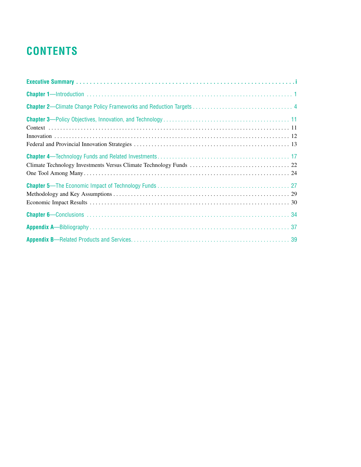# **Contents**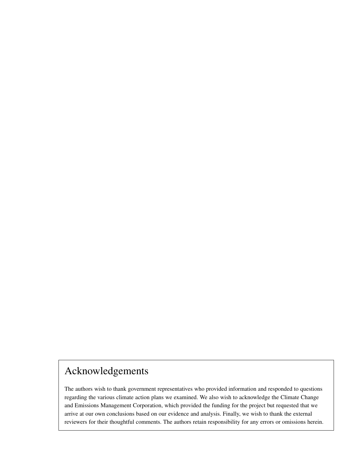# Acknowledgements

The authors wish to thank government representatives who provided information and responded to questions regarding the various climate action plans we examined. We also wish to acknowledge the Climate Change and Emissions Management Corporation, which provided the funding for the project but requested that we arrive at our own conclusions based on our evidence and analysis. Finally, we wish to thank the external reviewers for their thoughtful comments. The authors retain responsibility for any errors or omissions herein.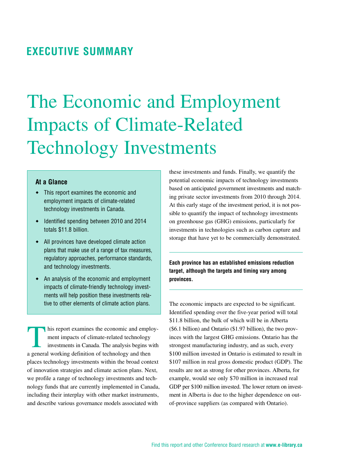## <span id="page-4-0"></span>**Executive Summary**

# The Economic and Employment Impacts of Climate-Related Technology Investments

#### **At a Glance**

- This report examines the economic and employment impacts of climate-related technology investments in Canada.
- $\bullet$  Identified spending between 2010 and 2014 totals \$11.8 billion.
- All provinces have developed climate action plans that make use of a range of tax measures, regulatory approaches, performance standards, and technology investments.
- An analysis of the economic and employment impacts of climate-friendly technology investments will help position these investments relative to other elements of climate action plans.

In his report examines the economic and employment impacts of climate-related technology investments in Canada. The analysis begins with a general working definition of technology and then places technology investments within the broad context of innovation strategies and climate action plans. Next, we profile a range of technology investments and technology funds that are currently implemented in Canada, including their interplay with other market instruments, and describe various governance models associated with

these investments and funds. Finally, we quantify the potential economic impacts of technology investments based on anticipated government investments and matching private sector investments from 2010 through 2014. At this early stage of the investment period, it is not possible to quantify the impact of technology investments on greenhouse gas (GHG) emissions, particularly for investments in technologies such as carbon capture and storage that have yet to be commercially demonstrated.

**Each province has an established emissions reduction target, although the targets and timing vary among provinces.**

The economic impacts are expected to be significant. Identified spending over the five-year period will total \$11.8 billion, the bulk of which will be in Alberta (\$6.1 billion) and Ontario (\$1.97 billion), the two provinces with the largest GHG emissions. Ontario has the strongest manufacturing industry, and as such, every \$100 million invested in Ontario is estimated to result in \$107 million in real gross domestic product (GDP). The results are not as strong for other provinces. Alberta, for example, would see only \$70 million in increased real GDP per \$100 million invested. The lower return on investment in Alberta is due to the higher dependence on outof-province suppliers (as compared with Ontario).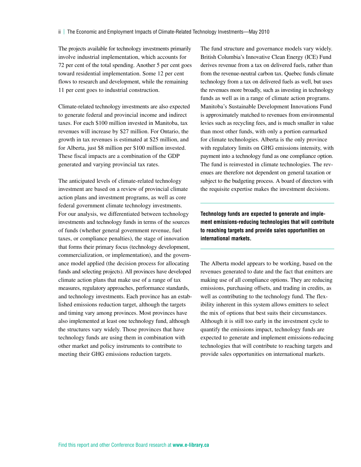The projects available for technology investments primarily involve industrial implementation, which accounts for 72 per cent of the total spending. Another 5 per cent goes toward residential implementation. Some 12 per cent flows to research and development, while the remaining 11 per cent goes to industrial construction.

Climate-related technology investments are also expected to generate federal and provincial income and indirect taxes. For each \$100 million invested in Manitoba, tax revenues will increase by \$27 million. For Ontario, the growth in tax revenues is estimated at \$25 million, and for Alberta, just \$8 million per \$100 million invested. These fiscal impacts are a combination of the GDP generated and varying provincial tax rates.

The anticipated levels of climate-related technology investment are based on a review of provincial climate action plans and investment programs, as well as core federal government climate technology investments. For our analysis, we differentiated between technology investments and technology funds in terms of the sources of funds (whether general government revenue, fuel taxes, or compliance penalties), the stage of innovation that forms their primary focus (technology development, commercialization, or implementation), and the governance model applied (the decision process for allocating funds and selecting projects). All provinces have developed climate action plans that make use of a range of tax measures, regulatory approaches, performance standards, and technology investments. Each province has an established emissions reduction target, although the targets and timing vary among provinces. Most provinces have also implemented at least one technology fund, although the structures vary widely. Those provinces that have technology funds are using them in combination with other market and policy instruments to contribute to meeting their GHG emissions reduction targets.

The fund structure and governance models vary widely. British Columbia's Innovative Clean Energy (ICE) Fund derives revenue from a tax on delivered fuels, rather than from the revenue-neutral carbon tax. Quebec funds climate technology from a tax on delivered fuels as well, but uses the revenues more broadly, such as investing in technology funds as well as in a range of climate action programs. Manitoba's Sustainable Development Innovations Fund is approximately matched to revenues from environmental levies such as recycling fees, and is much smaller in value than most other funds, with only a portion earmarked for climate technologies. Alberta is the only province with regulatory limits on GHG emissions intensity, with payment into a technology fund as one compliance option. The fund is reinvested in climate technologies. The revenues are therefore not dependent on general taxation or subject to the budgeting process. A board of directors with the requisite expertise makes the investment decisions.

**Technology funds are expected to generate and implement emissions-reducing technologies that will contribute to reaching targets and provide sales opportunities on international markets.**

The Alberta model appears to be working, based on the revenues generated to date and the fact that emitters are making use of all compliance options. They are reducing emissions, purchasing offsets, and trading in credits, as well as contributing to the technology fund. The flexibility inherent in this system allows emitters to select the mix of options that best suits their circumstances. Although it is still too early in the investment cycle to quantify the emissions impact, technology funds are expected to generate and implement emissions-reducing technologies that will contribute to reaching targets and provide sales opportunities on international markets.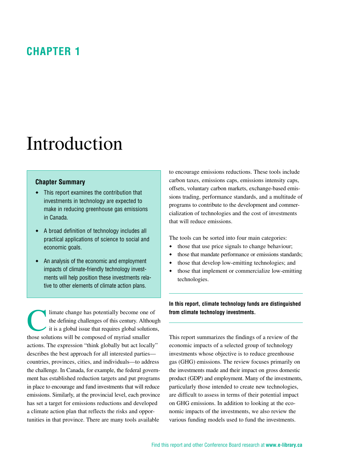# <span id="page-6-0"></span>**Chapter 1**

# Introduction

#### **Chapter Summary**

- This report examines the contribution that investments in technology are expected to make in reducing greenhouse gas emissions in Canada.
- A broad definition of technology includes all practical applications of science to social and economic goals.
- An analysis of the economic and employment impacts of climate-friendly technology investments will help position these investments relative to other elements of climate action plans.

limate change has potentially become one of<br>the defining challenges of this century. Althou<br>it is a global issue that requires global solution the defining challenges of this century. Although it is a global issue that requires global solutions, those solutions will be composed of myriad smaller actions. The expression "think globally but act locally" describes the best approach for all interested parties countries, provinces, cities, and individuals—to address the challenge. In Canada, for example, the federal government has established reduction targets and put programs in place to encourage and fund investments that will reduce emissions. Similarly, at the provincial level, each province has set a target for emissions reductions and developed a climate action plan that reflects the risks and opportunities in that province. There are many tools available

to encourage emissions reductions. These tools include carbon taxes, emissions caps, emissions intensity caps, offsets, voluntary carbon markets, exchange-based emissions trading, performance standards, and a multitude of programs to contribute to the development and commercialization of technologies and the cost of investments that will reduce emissions.

The tools can be sorted into four main categories:

- $\bullet$  those that use price signals to change behaviour;
- $\bullet$  those that mandate performance or emissions standards;
- those that develop low-emitting technologies; and
- $\bullet$  those that implement or commercialize low-emitting technologies.

**In this report, climate technology funds are distinguished from climate technology investments.**

This report summarizes the findings of a review of the economic impacts of a selected group of technology investments whose objective is to reduce greenhouse gas (GHG) emissions. The review focuses primarily on the investments made and their impact on gross domestic product (GDP) and employment. Many of the investments, particularly those intended to create new technologies, are difficult to assess in terms of their potential impact on GHG emissions. In addition to looking at the economic impacts of the investments, we also review the various funding models used to fund the investments.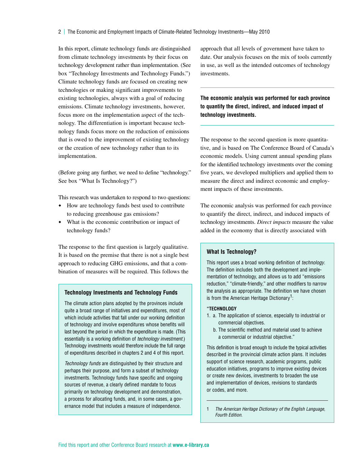In this report, climate technology funds are distinguished from climate technology investments by their focus on technology development rather than implementation. (See box "Technology Investments and Technology Funds.") Climate technology funds are focused on creating new technologies or making significant improvements to existing technologies, always with a goal of reducing emissions. Climate technology investments, however, focus more on the implementation aspect of the technology. The differentiation is important because technology funds focus more on the reduction of emissions that is owed to the improvement of existing technology or the creation of new technology rather than to its implementation.

(Before going any further, we need to define "technology." See box "What Is Technology?")

This research was undertaken to respond to two questions:

- How are technology funds best used to contribute to reducing greenhouse gas emissions?
- What is the economic contribution or impact of technology funds?

The response to the first question is largely qualitative. It is based on the premise that there is not a single best approach to reducing GHG emissions, and that a combination of measures will be required. This follows the

#### **Technology Investments and Technology Funds**

The climate action plans adopted by the provinces include quite a broad range of initiatives and expenditures, most of which include activities that fall under our working definition of technology and involve expenditures whose benefits will last beyond the period in which the expenditure is made. (This essentially is a working definition of *technology investment*.) Technology investments would therefore include the full range of expenditures described in chapters 2 and 4 of this report.

*Technology funds* are distinguished by their structure and perhaps their purpose, and form a subset of technology investments. Technology funds have specific and ongoing sources of revenue, a clearly defined mandate to focus primarily on technology development and demonstration, a process for allocating funds, and, in some cases, a governance model that includes a measure of independence.

approach that all levels of government have taken to date. Our analysis focuses on the mix of tools currently in use, as well as the intended outcomes of technology investments.

**The economic analysis was performed for each province to quantify the direct, indirect, and induced impact of technology investments.**

The response to the second question is more quantitative, and is based on The Conference Board of Canada's economic models. Using current annual spending plans for the identified technology investments over the coming five years, we developed multipliers and applied them to measure the direct and indirect economic and employment impacts of these investments.

The economic analysis was performed for each province to quantify the direct, indirect, and induced impacts of technology investments. *Direct impacts* measure the value added in the economy that is directly associated with

#### **What Is Technology?**

This report uses a broad working definition of *technology*. The definition includes both the development and implementation of technology, and allows us to add "emissions reduction," "climate-friendly," and other modifiers to narrow the analysis as appropriate. The definition we have chosen is from the American Heritage Dictionary<sup>1</sup>:

#### **"Technology**

- 1. a. The application of science, especially to industrial or commercial objectives.
	- b. The scientific method and material used to achieve a commercial or industrial objective."

This definition is broad enough to include the typical activities described in the provincial climate action plans. It includes support of science research, academic programs, public education initiatives, programs to improve existing devices or create new devices, investments to broaden the use and implementation of devices, revisions to standards or codes, and more.

1 *The American Heritage Dictionary of the English Language, Fourth Edition*.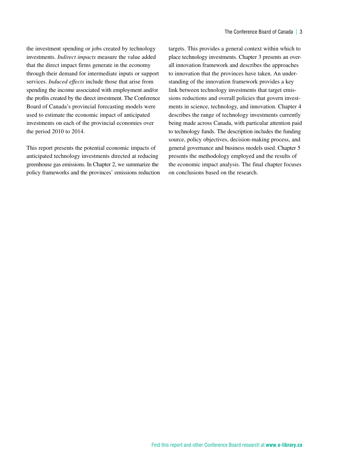the investment spending or jobs created by technology investments. *Indirect impacts* measure the value added that the direct impact firms generate in the economy through their demand for intermediate inputs or support services. *Induced effects* include those that arise from spending the income associated with employment and/or the profits created by the direct investment. The Conference Board of Canada's provincial forecasting models were used to estimate the economic impact of anticipated investments on each of the provincial economies over the period 2010 to 2014.

This report presents the potential economic impacts of anticipated technology investments directed at reducing greenhouse gas emissions. In Chapter 2, we summarize the policy frameworks and the provinces' emissions reduction targets. This provides a general context within which to place technology investments. Chapter 3 presents an overall innovation framework and describes the approaches to innovation that the provinces have taken. An understanding of the innovation framework provides a key link between technology investments that target emissions reductions and overall policies that govern investments in science, technology, and innovation. Chapter 4 describes the range of technology investments currently being made across Canada, with particular attention paid to technology funds. The description includes the funding source, policy objectives, decision-making process, and general governance and business models used. Chapter 5 presents the methodology employed and the results of the economic impact analysis. The final chapter focuses on conclusions based on the research.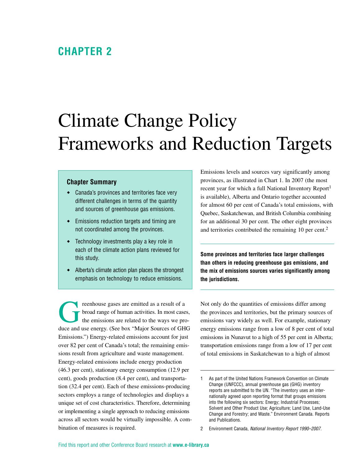### <span id="page-9-0"></span>**Chapter 2**

# Climate Change Policy Frameworks and Reduction Targets

#### **Chapter Summary**

- Canada's provinces and territories face very different challenges in terms of the quantity and sources of greenhouse gas emissions.
- Emissions reduction targets and timing are not coordinated among the provinces.
- Technology investments play a key role in each of the climate action plans reviewed for this study.
- Alberta's climate action plan places the strongest emphasis on technology to reduce emissions.

reenhouse gases are emitted as a result of a<br>broad range of human activities. In most case<br>the emissions are related to the ways we pr broad range of human activities. In most cases, the emissions are related to the ways we produce and use energy. (See box "Major Sources of GHG Emissions.") Energy-related emissions account for just over 82 per cent of Canada's total; the remaining emissions result from agriculture and waste management. Energy-related emissions include energy production (46.3 per cent), stationary energy consumption (12.9 per cent), goods production (8.4 per cent), and transportation (32.4 per cent). Each of these emissions-producing sectors employs a range of technologies and displays a unique set of cost characteristics. Therefore, determining or implementing a single approach to reducing emissions across all sectors would be virtually impossible. A combination of measures is required.

Emissions levels and sources vary significantly among provinces, as illustrated in Chart 1. In 2007 (the most recent year for which a full National Inventory Report<sup>1</sup> is available), Alberta and Ontario together accounted for almost 60 per cent of Canada's total emissions, with Quebec, Saskatchewan, and British Columbia combining for an additional 30 per cent. The other eight provinces and territories contributed the remaining 10 per cent.<sup>2</sup>

**Some provinces and territories face larger challenges than others in reducing greenhouse gas emissions, and the mix of emissions sources varies significantly among the jurisdictions.**

Not only do the quantities of emissions differ among the provinces and territories, but the primary sources of emissions vary widely as well. For example, stationary energy emissions range from a low of 8 per cent of total emissions in Nunavut to a high of 55 per cent in Alberta; transportation emissions range from a low of 17 per cent of total emissions in Saskatchewan to a high of almost

<sup>1</sup> As part of the United Nations Framework Convention on Climate Change (UNFCCC), annual greenhouse gas (GHG) inventory reports are submitted to the UN. "The inventory uses an internationally agreed upon reporting format that groups emissions into the following six sectors: Energy; Industrial Processes; Solvent and Other Product Use; Agriculture; Land Use, Land-Use Change and Forestry; and Waste." Environment Canada. Reports and Publications.

<sup>2</sup> Environment Canada, *National Inventory Report 1990–2007*.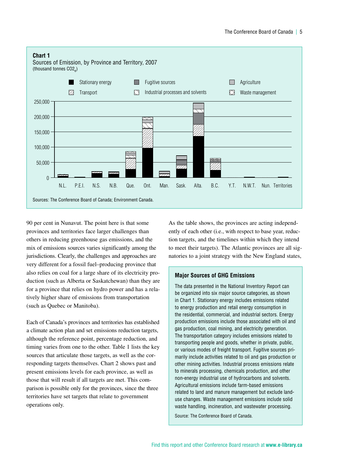

90 per cent in Nunavut. The point here is that some provinces and territories face larger challenges than others in reducing greenhouse gas emissions, and the mix of emissions sources varies significantly among the jurisdictions. Clearly, the challenges and approaches are very different for a fossil fuel–producing province that also relies on coal for a large share of its electricity production (such as Alberta or Saskatchewan) than they are for a province that relies on hydro power and has a relatively higher share of emissions from transportation (such as Quebec or Manitoba).

Each of Canada's provinces and territories has established a climate action plan and set emissions reduction targets, although the reference point, percentage reduction, and timing varies from one to the other. Table 1 lists the key sources that articulate those targets, as well as the corresponding targets themselves. Chart 2 shows past and present emissions levels for each province, as well as those that will result if all targets are met. This comparison is possible only for the provinces, since the three territories have set targets that relate to government operations only.

As the table shows, the provinces are acting independently of each other (i.e., with respect to base year, reduction targets, and the timelines within which they intend to meet their targets). The Atlantic provinces are all signatories to a joint strategy with the New England states,

#### **Major Sources of GHG Emissions**

The data presented in the National Inventory Report can be organized into six major source categories, as shown in Chart 1. Stationary energy includes emissions related to energy production and retail energy consumption in the residential, commercial, and industrial sectors. Energy production emissions include those associated with oil and gas production, coal mining, and electricity generation. The transportation category includes emissions related to transporting people and goods, whether in private, public, or various modes of freight transport. Fugitive sources primarily include activities related to oil and gas production or other mining activities. Industrial process emissions relate to minerals processing, chemicals production, and other non-energy industrial use of hydrocarbons and solvents. Agricultural emissions include farm-based emissions related to land and manure management but exclude landuse changes. Waste management emissions include solid waste handling, incineration, and wastewater processing.

Source: The Conference Board of Canada.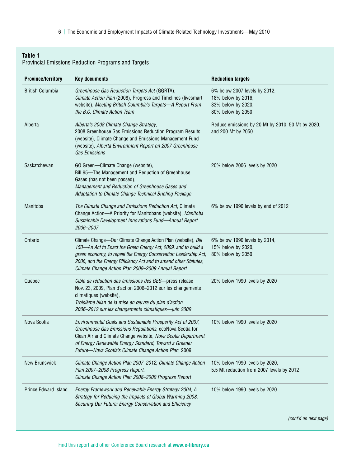6 | The Economic and Employment Impacts of Climate-Related Technology Investments—May 2010

#### **Table 1**

#### Provincial Emissions Reduction Programs and Targets

| <b>Province/territory</b>   | <b>Key documents</b>                                                                                                                                                                                                                                                                                                          | <b>Reduction targets</b>                                                                       |
|-----------------------------|-------------------------------------------------------------------------------------------------------------------------------------------------------------------------------------------------------------------------------------------------------------------------------------------------------------------------------|------------------------------------------------------------------------------------------------|
| <b>British Columbia</b>     | Greenhouse Gas Reduction Targets Act (GGRTA),<br>Climate Action Plan (2008), Progress and Timelines (livesmart<br>website), Meeting British Columbia's Targets-A Report From<br>the B.C. Climate Action Team                                                                                                                  | 6% below 2007 levels by 2012,<br>18% below by 2016,<br>33% below by 2020,<br>80% below by 2050 |
| Alberta                     | Alberta's 2008 Climate Change Strategy,<br>2008 Greenhouse Gas Emissions Reduction Program Results<br>(website), Climate Change and Emissions Management Fund<br>(website), Alberta Environment Report on 2007 Greenhouse<br><b>Gas Emissions</b>                                                                             | Reduce emissions by 20 Mt by 2010, 50 Mt by 2020,<br>and 200 Mt by 2050                        |
| Saskatchewan                | GO Green-Climate Change (website),<br>Bill 95-The Management and Reduction of Greenhouse<br>Gases (has not been passed),<br>Management and Reduction of Greenhouse Gases and<br>Adaptation to Climate Change Technical Briefing Package                                                                                       | 20% below 2006 levels by 2020                                                                  |
| Manitoba                    | The Climate Change and Emissions Reduction Act, Climate<br>Change Action-A Priority for Manitobans (website), Manitoba<br>Sustainable Development Innovations Fund-Annual Report<br>2006-2007                                                                                                                                 | 6% below 1990 levels by end of 2012                                                            |
| Ontario                     | Climate Change-Our Climate Change Action Plan (website), Bill<br>150-An Act to Enact the Green Energy Act, 2009, and to build a<br>green economy, to repeal the Energy Conservation Leadership Act,<br>2006, and the Energy Efficiency Act and to amend other Statutes,<br>Climate Change Action Plan 2008-2009 Annual Report | 6% below 1990 levels by 2014,<br>15% below by 2020,<br>80% below by 2050                       |
| Quebec                      | Cible de réduction des émissions des GES-press release<br>Nov. 23, 2009, Plan d'action 2006-2012 sur les changements<br>climatiques (website),<br>Troisième bilan de la mise en œuvre du plan d'action<br>2006-2012 sur les changements climatiques-juin 2009                                                                 | 20% below 1990 levels by 2020                                                                  |
| Nova Scotia                 | Environmental Goals and Sustainable Prosperity Act of 2007,<br>Greenhouse Gas Emissions Regulations, ecoNova Scotia for<br>Clean Air and Climate Change website, Nova Scotia Department<br>of Energy Renewable Energy Standard, Toward a Greener<br>Future-Nova Scotia's Climate Change Action Plan, 2009                     | 10% below 1990 levels by 2020                                                                  |
| <b>New Brunswick</b>        | Climate Change Action Plan 2007-2012, Climate Change Action<br>Plan 2007-2008 Progress Report,<br>Climate Change Action Plan 2008-2009 Progress Report                                                                                                                                                                        | 10% below 1990 levels by 2020,<br>5.5 Mt reduction from 2007 levels by 2012                    |
| <b>Prince Edward Island</b> | Energy Framework and Renewable Energy Strategy 2004, A<br>Strategy for Reducing the Impacts of Global Warming 2008,<br>Securing Our Future: Energy Conservation and Efficiency                                                                                                                                                | 10% below 1990 levels by 2020                                                                  |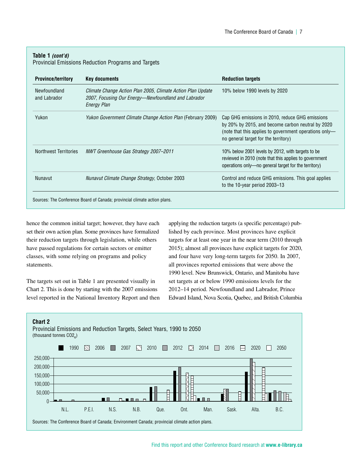#### **Table 1** *(cont'd)*

Provincial Emissions Reduction Programs and Targets

| <b>Province/territory</b>    | Key documents                                                                                                                     | <b>Reduction targets</b>                                                                                                                                                                               |
|------------------------------|-----------------------------------------------------------------------------------------------------------------------------------|--------------------------------------------------------------------------------------------------------------------------------------------------------------------------------------------------------|
| Newfoundland<br>and Labrador | Climate Change Action Plan 2005, Climate Action Plan Update<br>2007, Focusing Our Energy—Newfoundland and Labrador<br>Energy Plan | 10% below 1990 levels by 2020                                                                                                                                                                          |
| Yukon                        | <i>Yukon Government Climate Change Action Plan (February 2009)</i>                                                                | Cap GHG emissions in 2010, reduce GHG emissions<br>by 20% by 2015, and become carbon neutral by 2020<br>(note that this applies to government operations only-<br>no general target for the territory) |
| Northwest Territories        | NWT Greenhouse Gas Strategy 2007–2011                                                                                             | 10% below 2001 levels by 2012, with targets to be<br>reviewed in 2010 (note that this applies to government<br>operations only—no general target for the territory)                                    |
| Nunavut                      | Nunavut Climate Change Strategy, October 2003                                                                                     | Control and reduce GHG emissions. This goal applies<br>to the 10-year period 2003–13                                                                                                                   |

hence the common initial target; however, they have each set their own action plan. Some provinces have formalized their reduction targets through legislation, while others have passed regulations for certain sectors or emitter classes, with some relying on programs and policy statements.

The targets set out in Table 1 are presented visually in Chart 2. This is done by starting with the 2007 emissions level reported in the National Inventory Report and then applying the reduction targets (a specific percentage) published by each province. Most provinces have explicit targets for at least one year in the near term (2010 through 2015); almost all provinces have explicit targets for 2020, and four have very long-term targets for 2050. In 2007, all provinces reported emissions that were above the 1990 level. New Brunswick, Ontario, and Manitoba have set targets at or below 1990 emissions levels for the 2012–14 period. Newfoundland and Labrador, Prince Edward Island, Nova Scotia, Quebec, and British Columbia

#### **Chart 2**

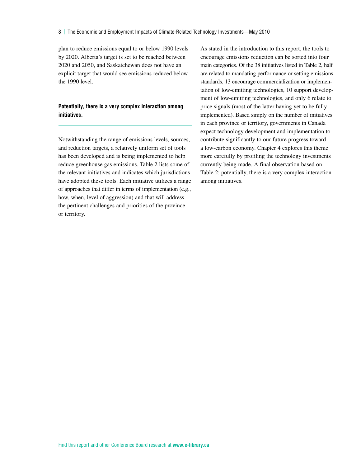plan to reduce emissions equal to or below 1990 levels by 2020. Alberta's target is set to be reached between 2020 and 2050, and Saskatchewan does not have an explicit target that would see emissions reduced below the 1990 level.

#### **Potentially, there is a very complex interaction among initiatives.**

Notwithstanding the range of emissions levels, sources, and reduction targets, a relatively uniform set of tools has been developed and is being implemented to help reduce greenhouse gas emissions. Table 2 lists some of the relevant initiatives and indicates which jurisdictions have adopted these tools. Each initiative utilizes a range of approaches that differ in terms of implementation (e.g., how, when, level of aggression) and that will address the pertinent challenges and priorities of the province or territory.

As stated in the introduction to this report, the tools to encourage emissions reduction can be sorted into four main categories. Of the 38 initiatives listed in Table 2, half are related to mandating performance or setting emissions standards, 13 encourage commercialization or implementation of low-emitting technologies, 10 support development of low-emitting technologies, and only 6 relate to price signals (most of the latter having yet to be fully implemented). Based simply on the number of initiatives in each province or territory, governments in Canada expect technology development and implementation to contribute significantly to our future progress toward a low-carbon economy. Chapter 4 explores this theme more carefully by profiling the technology investments currently being made. A final observation based on Table 2: potentially, there is a very complex interaction among initiatives.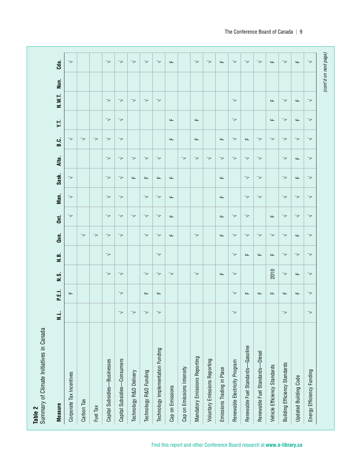(cont'd on next page)  $c<sub>da</sub>$ .  $\rightarrow$  $\rightarrow$  $\rightarrow$  $\rightarrow$  $\overline{\phantom{0}}$  $\rightarrow$  $\overline{\phantom{a}}$  $\overline{\phantom{0}}$  $\rightarrow$  $\overline{\phantom{a}}$  $\rightarrow$  $\overline{\phantom{0}}$  $\overline{\phantom{0}}$  $\overline{\mathbf{L}}$  $\overline{\phantom{0}}$  $\overline{u}$  $\rightarrow$ **W.T. Nun. Cda.** Corporate Tax Incentives F √ √ √ √ √ Capital Subsidies—Businesses √ √ √ √ √ √ √ √ √ √ √ Capital Subsidies—Consumers √ √ √ √ √ √ √ √ √ √ √ √ Technology R&D Delivery √ √ F √ √ √ Technology R&D Funding √ F √ √ √ √ F √ √ √ Technology Implementation Funding √ F √ √ √ √ √ F √ √ √ Cap on Emissions √ F F F F F F F Mandatory Emissions Reporting √ √ √ F F √ Volume Reporting Society Alexandro Statement παι παι το προστίπο προστίπο προστίπο προστίπο προστίπο προστίπο πρ Emissions Trading in Place F F F F F √ F F Renewable Electricity Program √ √ √ √ √ √ √ √ √ √ √ **Renewable Function Fuel Standards—Gasoline Function Function Function Function Function Function Function** Functio **Renewable Function Standards—Diesel Function Standards—Diesel Function Standards—Diesel Function Standards—Diesel Function Standards—Diesel Function Standards—Diesel Function Standards—Diesel Function Standards—Diesel F** Vehicle Efficiency Standards F 2010 F √ F √ F F F δειμετική Standards δειμετική στη διαδική διαδική διαδική σειμετική στη διαδική σειμετική διαδική σειμετική σε Updated Building Code F F √ F √ √ F F √ F F F Energy Efficiency Funding √ √ √ √ √ √ √ √ √ √ √ √ √ Nun. N.W.T.  $\rightarrow$  $\rightarrow$  $\overline{\phantom{a}}$  $\rightarrow$  $\rightarrow$  $\overline{\phantom{0}}$  $\mathbf{L}$  $\overline{\phantom{0}}$  $\mathbf{L}$  $\rightarrow$ **Measure N.L. P.E.I. N.S. N.B. Que. Ont. Man. Sask. Alta. B.C. Y.T. N.**  $\rightarrow$  $\mathbf{u}$  $\overline{\mathbf{L}}$  $\rightarrow$  $\overline{a}$  $\rightarrow$  $\overline{a}$  $\rightarrow$  $\overline{\phantom{0}}$ ΥT. B.C.  $\rightarrow$  $\rightarrow$  $\rightarrow$  $\rightarrow$  $\rightarrow$  $\rightarrow$  $\rightarrow$  $\rightarrow$  $\rightarrow$  $\rightarrow$  $\rightarrow$  $\mathbf{u}$  $\mathbf{L}$  $\mathbf{u}$  $\mathbf{u}$ Carbon Tax √ √ Fuel Tax √ √ Alta.  $\rightarrow$  $\rightarrow$  $\rightarrow$  $\rightarrow$  $\rightarrow$  $\rightarrow$  $\rightarrow$  $\rightarrow$  $\rightarrow$  $\rightarrow$  $\rightarrow$  $\rightarrow$  $\rightarrow$  $\mathbf{L}$  $\rightarrow$ √ √ ⊥ intensity and Emissions Intensity √ √ intensity and Emissions Intensity ∧ √ intensity and Eco Sask.  $\rightarrow$  $\rightarrow$  $\bar{a}$  $\overline{\mathbf{L}}$  $\rightarrow$  $\rightarrow$  $\rightarrow$  $\overline{\mathbf{L}}$  $\rightarrow$  $\overline{\phantom{0}}$  $\mathbf{L}$  $\mathbf{L}$  $\mathbf{L}$ Man.  $\rightarrow$  $\rightarrow$  $\rightarrow$  $\rightarrow$  $\rightarrow$  $\overline{\phantom{0}}$  $\rightarrow$  $\rightarrow$  $\rightarrow$  $\mathbf{u}$  $\sqcup$  $\overline{\phantom{0}}$ Ont.  $\overline{\phantom{0}}$  $\overline{\phantom{0}}$  $\overline{\phantom{0}}$  $\rightarrow$  $\rightarrow$  $\overline{\phantom{0}}$  $\mathbf{L}$  $\mathbf{L}$  $\prec$  $\overline{\phantom{0}}$  $\mathbf{L}$  $\overline{\phantom{0}}$  $\overline{\phantom{0}}$  $\overline{\phantom{0}}$ Que.  $\rightarrow$  $\rightarrow$  $\rightarrow$  $\rightarrow$  $\rightarrow$  $\rightarrow$  $\rightarrow$  $\rightarrow$  $\mathbf{L}$  $\mathbf{u}$  $\rightarrow$  $\rightarrow$  $\rightarrow$  $\rightarrow$  $\rightarrow$  $\mathbf{u}$ N.B.  $\rightarrow$  $\overline{\phantom{0}}$  $\overline{\phantom{0}}$  $\overline{\phantom{0}}$  $\mathbf{L}$  $\mathbf{u}$  $\mathbf{L}$  $\overline{\phantom{0}}$  $\overline{\phantom{0}}$  $2010$ N.S.  $\rightarrow$  $\rightarrow$  $\rightarrow$  $\overline{\phantom{0}}$  $\overline{\phantom{0}}$  $\rightarrow$  $\mathbf{L}$  $\rightarrow$  $\overline{\phantom{0}}$  $\overline{\mathbf{L}}$  $\rightarrow$ P.E.I. Щ  $\overline{\phantom{0}}$  $\mathbf{L}$  $\mathbf{u}$  $\mathbf{u}$ Щ  $\overline{\phantom{0}}$  $\mathbf{L}$  $\overline{\phantom{0}}$  $\mathbf{L}$  $\mathbf{L}$  $\overline{a}$ .  $\rightarrow$  $\overline{\phantom{0}}$  $\rightarrow$  $\overline{\phantom{0}}$  $\prec$  $\overline{\phantom{0}}$  $\overline{\phantom{0}}$ **Table 2** Summary of Climate Initiatives in Canada Renewable Fuel Standards-Gasoline Technology Implementation Funding Renewable Fuel Standards-Diesel Mandatory Emissions Reporting Capital Subsidies-Consumers Voluntary Emissions Reporting Capital Subsidies-Businesses Renewable Electricity Program Building Efficiency Standards Vehicle Efficiency Standards Cap on Emissions Intensity Emissions Trading in Place Technology R&D Funding Energy Efficiency Funding Technology R&D Delivery Corporate Tax Incentives **Updated Building Code** Cap on Emissions Carbon Tax **Measure** Fuel Tax

*(cont'd on next page)*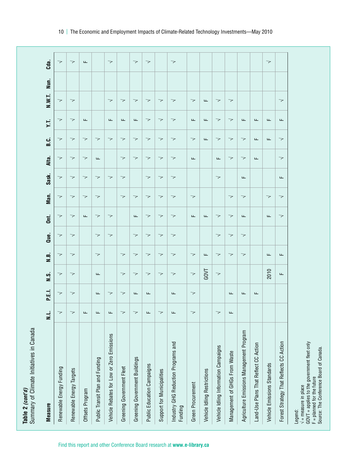| <b>Measure</b>                                                                                                                                                     | ا ق<br>Ξ                 | P.E.I.                   | $\overline{\phantom{a}}$ . | N.B.                     | Que.                     | Ont.                     | Man.                     | Sask.                    | Alta.                    | 5.C.                     | Υ.T.    | N.W.T.                   | Nun. | Cda.                     |
|--------------------------------------------------------------------------------------------------------------------------------------------------------------------|--------------------------|--------------------------|----------------------------|--------------------------|--------------------------|--------------------------|--------------------------|--------------------------|--------------------------|--------------------------|---------|--------------------------|------|--------------------------|
| Renewable Energy Funding                                                                                                                                           | ᅐ                        | 7                        | 7                          | 7                        | ᅐ                        | マ                        | 7                        | 7                        | 7                        | 7                        | 7       | 7                        |      | 7                        |
| Renewable Energy Targets                                                                                                                                           | 7                        | $\prec$                  | $\prec$                    | $\prec$                  | $\overline{\phantom{0}}$ | $\prec$                  | $\prec$                  | $\overline{\phantom{0}}$ | $\prec$                  | $\overline{\phantom{0}}$ | $\prec$ | $\prec$                  |      | $\overline{\phantom{0}}$ |
| Offsets Program                                                                                                                                                    | щ                        |                          |                            |                          |                          | ட                        | マ                        | 7                        | $\prec$                  | ➢                        | ட       |                          |      | Щ                        |
| Public Transit Plan and Funding                                                                                                                                    | щ                        | щ                        | ட                          | $\prec$                  | $\prec$                  | 7                        | 7                        | 7                        | щ                        | 7                        |         |                          |      |                          |
| Vehicle Rebates for Low or Zero Emissions                                                                                                                          | щ                        | $\overline{\phantom{0}}$ |                            |                          | $\overline{\phantom{a}}$ | $\prec$                  |                          | $\prec$                  |                          | $\prec$                  | щ       | $\overline{\phantom{0}}$ |      | $\overline{\phantom{a}}$ |
| Greening Government Fleet                                                                                                                                          | ₹                        | $\prec$                  | $\overline{\phantom{a}}$   | $\overline{\phantom{a}}$ |                          |                          | 7                        | $\prec$                  | $\overline{\phantom{a}}$ | 7                        | Щ       | 7                        |      |                          |
| Greening Government Buildings                                                                                                                                      | マ                        | щ                        | 7                          | $\prec$                  | $\prec$                  | ட                        | 7                        |                          | 7                        | 7                        | щ       | 7                        |      | $\prec$                  |
| Public Education Campaigns                                                                                                                                         | щ                        | щ                        | $\overline{\phantom{0}}$   | $\overline{\phantom{a}}$ | $\overline{\phantom{0}}$ | $\overline{\phantom{a}}$ | $\prec$                  | $\overline{\phantom{a}}$ | $\prec$                  | $\overline{\phantom{0}}$ | $\prec$ | $\prec$                  |      | $\overline{\phantom{a}}$ |
| Support for Municipalities                                                                                                                                         | マ                        |                          | $\prec$                    | $\prec$                  | $\prec$                  | ᅐ                        | 7                        | $\prec$                  | $\prec$                  | マ                        | $\prec$ | ᅐ                        |      |                          |
| Industry GHG Reduction Programs and<br>Funding                                                                                                                     | щ                        | щ                        | 7                          | 7                        | 7                        | 7                        | 7                        | 7                        | 7                        | $\prec$                  | 7       | 7                        |      | $\overline{\phantom{a}}$ |
| Green Procurement                                                                                                                                                  | 7                        | $\overline{\phantom{0}}$ | $\prec$                    | $\overline{\phantom{a}}$ |                          | ட                        | $\prec$                  |                          | щ                        | $\prec$                  | щ       | $\prec$                  |      |                          |
| Vehicle Idling Restrictions                                                                                                                                        |                          |                          | GOVT                       | $\mathsf{L}\mathsf{L}$   |                          | ட                        |                          |                          |                          | ட                        | Щ       | щ                        |      |                          |
| Vehicle Idling Information Campaigns                                                                                                                               | $\overline{\phantom{0}}$ |                          | $\prec$                    | 7                        | $\overline{\phantom{a}}$ | ᅐ                        |                          | $\prec$                  | щ                        | $\prec$                  | $\prec$ | 7                        |      |                          |
| Management of GHGs From Waste                                                                                                                                      | щ                        | щ                        |                            | $\prec$                  | $\overline{\phantom{a}}$ | $\prec$                  | $\prec$                  |                          | $\prec$                  | $\prec$                  | $\prec$ | $\prec$                  |      |                          |
| Agriculture Emissions Management Program                                                                                                                           |                          | щ                        |                            | $\prec$                  | $\overline{\phantom{a}}$ | Щ                        | 7                        | $\sqcup$                 | $\prec$                  | 7                        | Щ       |                          |      |                          |
| Land-Use Plans That Reflect CC Action                                                                                                                              |                          | Щ                        |                            |                          |                          |                          |                          |                          | щ                        | Щ                        | Щ       |                          |      |                          |
| Vehicle Emissions Standards                                                                                                                                        |                          |                          | 2010                       | ட                        |                          | ட                        | $\overline{\phantom{0}}$ |                          |                          | $\sqcup$                 | ட       |                          |      | $\overline{\phantom{a}}$ |
| Forest Strategy That Reflects CC Action                                                                                                                            |                          |                          | ட                          | $\mathsf{L}\mathsf{L}$   |                          | $\prec$                  | $\overline{\phantom{a}}$ | ட                        | $\prec$                  | $\prec$                  | ட       | $\prec$                  |      |                          |
| GOVT = applies to the government fleet only<br>Source: The Conference Board of Canada.<br>$F =$ planned for the future<br>$\sqrt{ }$ = measure in place<br>Legend: |                          |                          |                            |                          |                          |                          |                          |                          |                          |                          |         |                          |      |                          |

Find this report and other Conference Board research at **www.e-library.ca**

**Table 2** *(cont'd)*

Summary of Climate Initiatives in Canada

Table 2 (cont'd)<br>Summary of Climate Initiatives in Canada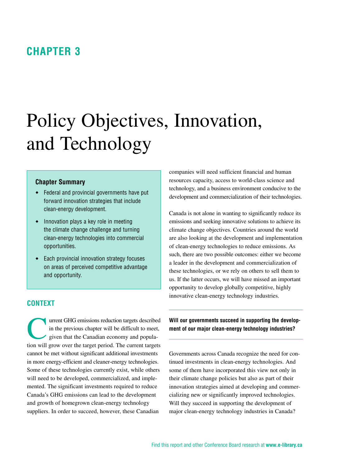### <span id="page-16-0"></span>**Chapter 3**

# Policy Objectives, Innovation, and Technology

#### **Chapter Summary**

- ◆ Federal and provincial governments have put forward innovation strategies that include clean-energy development.
- $\bullet$  Innovation plays a key role in meeting the climate change challenge and turning clean-energy technologies into commercial opportunities.
- Each provincial innovation strategy focuses on areas of perceived competitive advantage and opportunity.

#### **Context**

Turrent GHG emissions reduction targets described<br>in the previous chapter will be difficult to meet,<br>given that the Canadian economy and popula-<br>tion will are some the tensor population of the summation tensor in the previous chapter will be difficult to meet, given that the Canadian economy and population will grow over the target period. The current targets cannot be met without significant additional investments in more energy-efficient and cleaner-energy technologies. Some of these technologies currently exist, while others will need to be developed, commercialized, and implemented. The significant investments required to reduce Canada's GHG emissions can lead to the development and growth of homegrown clean-energy technology suppliers. In order to succeed, however, these Canadian

companies will need sufficient financial and human resources capacity, access to world-class science and technology, and a business environment conducive to the development and commercialization of their technologies.

Canada is not alone in wanting to significantly reduce its emissions and seeking innovative solutions to achieve its climate change objectives. Countries around the world are also looking at the development and implementation of clean-energy technologies to reduce emissions. As such, there are two possible outcomes: either we become a leader in the development and commercialization of these technologies, or we rely on others to sell them to us. If the latter occurs, we will have missed an important opportunity to develop globally competitive, highly innovative clean-energy technology industries.

**Will our governments succeed in supporting the development of our major clean-energy technology industries?**

Governments across Canada recognize the need for continued investments in clean-energy technologies. And some of them have incorporated this view not only in their climate change policies but also as part of their innovation strategies aimed at developing and commercializing new or significantly improved technologies. Will they succeed in supporting the development of major clean-energy technology industries in Canada?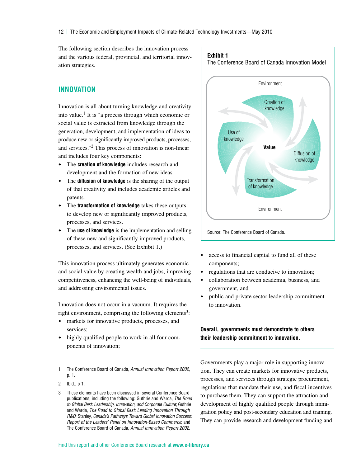<span id="page-17-0"></span>The following section describes the innovation process and the various federal, provincial, and territorial innovation strategies.

#### **Innovation**

Innovation is all about turning knowledge and creativity into value.<sup>1</sup> It is "a process through which economic or social value is extracted from knowledge through the generation, development, and implementation of ideas to produce new or significantly improved products, processes, and services."2 This process of innovation is non-linear and includes four key components:

- The **creation of knowledge** includes research and development and the formation of new ideas.
- The **diffusion of knowledge** is the sharing of the output of that creativity and includes academic articles and patents.
- The **transformation of knowledge** takes these outputs to develop new or significantly improved products, processes, and services.
- The **use of knowledge** is the implementation and selling of these new and significantly improved products, processes, and services. (See Exhibit 1.)

This innovation process ultimately generates economic and social value by creating wealth and jobs, improving competitiveness, enhancing the well-being of individuals, and addressing environmental issues.

Innovation does not occur in a vacuum. It requires the right environment, comprising the following elements<sup>3</sup>:

- markets for innovative products, processes, and services;
- highly qualified people to work in all four components of innovation;



The Conference Board of Canada Innovation Model

- access to financial capital to fund all of these components;
- regulations that are conducive to innovation;
- collaboration between academia, business, and government, and
- public and private sector leadership commitment to innovation.

**Overall, governments must demonstrate to others their leadership commitment to innovation.**

Governments play a major role in supporting innovation. They can create markets for innovative products, processes, and services through strategic procurement, regulations that mandate their use, and fiscal incentives to purchase them. They can support the attraction and development of highly qualified people through immigration policy and post-secondary education and training. They can provide research and development funding and

**Exhibit 1**

<sup>1</sup> The Conference Board of Canada, *Annual Innovation Report 2002*, p. 1.

<sup>2</sup> Ibid., p 1.

<sup>3</sup> These elements have been discussed in several Conference Board publications, including the following: Guthrie and Warda, *The Road to Global Best: Leadership, Innovation, and Corporate Culture*; Guthrie and Warda, *The Road to Global Best: Leading Innovation Through R&D*; Stanley, *Canada's Pathways Toward Global Innovation Success: Report of the Leaders' Panel on Innovation-Based Commerce*; and The Conference Board of Canada, *Annual Innovation Report 2002*.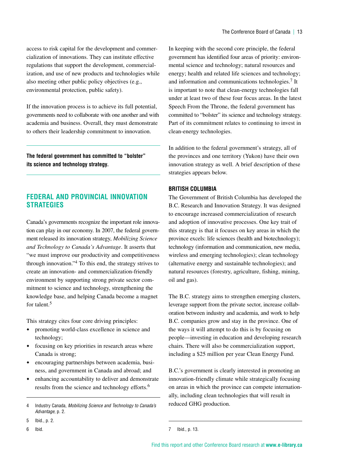<span id="page-18-0"></span>access to risk capital for the development and commercialization of innovations. They can institute effective regulations that support the development, commercialization, and use of new products and technologies while also meeting other public policy objectives (e.g., environmental protection, public safety).

If the innovation process is to achieve its full potential, governments need to collaborate with one another and with academia and business. Overall, they must demonstrate to others their leadership commitment to innovation.

**The federal government has committed to "bolster" its science and technology strategy.**

#### **Federal and Provincial Innovation Strategies**

Canada's governments recognize the important role innovation can play in our economy. In 2007, the federal government released its innovation strategy, *Mobilizing Science and Technology to Canada's Advantage*. It asserts that "we must improve our productivity and competitiveness through innovation."4 To this end, the strategy strives to create an innovation- and commercialization-friendly environment by supporting strong private sector commitment to science and technology, strengthening the knowledge base, and helping Canada become a magnet for talent.<sup>5</sup>

This strategy cites four core driving principles:

- promoting world-class excellence in science and technology;
- focusing on key priorities in research areas where Canada is strong;
- encouraging partnerships between academia, business, and government in Canada and abroad; and
- enhancing accountability to deliver and demonstrate results from the science and technology efforts.<sup>6</sup>

In keeping with the second core principle, the federal government has identified four areas of priority: environmental science and technology; natural resources and energy; health and related life sciences and technology; and information and communications technologies.7 It is important to note that clean-energy technologies fall under at least two of these four focus areas. In the latest Speech From the Throne, the federal government has committed to "bolster" its science and technology strategy. Part of its commitment relates to continuing to invest in clean-energy technologies.

In addition to the federal government's strategy, all of the provinces and one territory (Yukon) have their own innovation strategy as well. A brief description of these strategies appears below.

#### **British Columbia**

The Government of British Columbia has developed the B.C. Research and Innovation Strategy. It was designed to encourage increased commercialization of research and adoption of innovative processes. One key trait of this strategy is that it focuses on key areas in which the province excels: life sciences (health and biotechnology); technology (information and communication, new media, wireless and emerging technologies); clean technology (alternative energy and sustainable technologies); and natural resources (forestry, agriculture, fishing, mining, oil and gas).

The B.C. strategy aims to strengthen emerging clusters, leverage support from the private sector, increase collaboration between industry and academia, and work to help B.C. companies grow and stay in the province. One of the ways it will attempt to do this is by focusing on people—investing in education and developing research chairs. There will also be commercialization support, including a \$25 million per year Clean Energy Fund.

B.C.'s government is clearly interested in promoting an innovation-friendly climate while strategically focusing on areas in which the province can compete internationally, including clean technologies that will result in reduced GHG production.

<sup>4</sup> Industry Canada, *Mobilizing Science and Technology to Canada's Advantage*, p. 2.

<sup>5</sup> Ibid., p. 2.

<sup>6</sup> Ibid.

<sup>7</sup> Ibid., p. 13.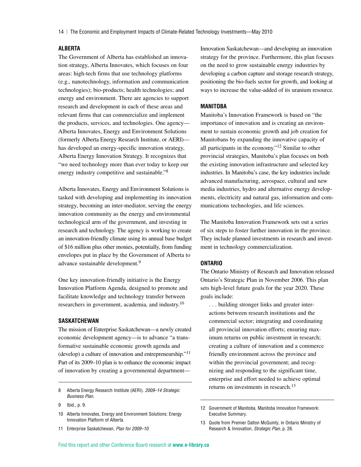14 | The Economic and Employment Impacts of Climate-Related Technology Investments—May 2010

#### **Alberta**

The Government of Alberta has established an innovation strategy, Alberta Innovates, which focuses on four areas: high-tech firms that use technology platforms (e.g., nanotechnology, information and communication technologies); bio-products; health technologies; and energy and environment. There are agencies to support research and development in each of these areas and relevant firms that can commercialize and implement the products, services, and technologies. One agency— Alberta Innovates, Energy and Environment Solutions (formerly Alberta Energy Research Institute, or AERI) has developed an energy-specific innovation strategy, Alberta Energy Innovation Strategy. It recognizes that "we need technology more than ever today to keep our energy industry competitive and sustainable."8

Alberta Innovates, Energy and Environment Solutions is tasked with developing and implementing its innovation strategy, becoming an inter-mediator, serving the energy innovation community as the energy and environmental technological arm of the government, and investing in research and technology. The agency is working to create an innovation-friendly climate using its annual base budget of \$16 million plus other monies, potentially, from funding envelopes put in place by the Government of Alberta to advance sustainable development.<sup>9</sup>

One key innovation-friendly initiative is the Energy Innovation Platform Agenda, designed to promote and facilitate knowledge and technology transfer between researchers in government, academia, and industry.<sup>10</sup>

#### **Saskatchewan**

The mission of Enterprise Saskatchewan—a newly created economic development agency—is to advance "a transformative sustainable economic growth agenda and (develop) a culture of innovation and entrepreneurship."11 Part of its 2009–10 plan is to enhance the economic impact of innovation by creating a governmental departmentInnovation Saskatchewan—and developing an innovation strategy for the province. Furthermore, this plan focuses on the need to grow sustainable energy industries by developing a carbon capture and storage research strategy, positioning the bio-fuels sector for growth, and looking at ways to increase the value-added of its uranium resource.

#### **Manitoba**

Manitoba's Innovation Framework is based on "the importance of innovation and is creating an environment to sustain economic growth and job creation for Manitobans by expanding the innovative capacity of all participants in the economy."12 Similar to other provincial strategies, Manitoba's plan focuses on both the existing innovation infrastructure and selected key industries. In Manitoba's case, the key industries include advanced manufacturing, aerospace, cultural and new media industries, hydro and alternative energy developments, electricity and natural gas, information and communications technologies, and life sciences.

The Manitoba Innovation Framework sets out a series of six steps to foster further innovation in the province. They include planned investments in research and investment in technology commercialization.

#### **Ontario**

The Ontario Ministry of Research and Innovation released Ontario's Strategic Plan in November 2006. This plan sets high-level future goals for the year 2020. These goals include:

. . . building stronger links and greater interactions between research institutions and the commercial sector; integrating and coordinating all provincial innovation efforts; ensuring maximum returns on public investment in research; creating a culture of innovation and a commerce friendly environment across the province and within the provincial government; and recognizing and responding to the significant time, enterprise and effort needed to achieve optimal returns on investments in research.<sup>13</sup>

<sup>8</sup> Alberta Energy Research Institute (AERI). *2009–14 Strategic Business Plan*.

<sup>9</sup> Ibid., p. 9.

<sup>10</sup> Alberta Innovates, Energy and Environment Solutions: Energy Innovation Platform of Alberta.

<sup>11</sup> Enterprise Saskatchewan, *Plan for 2009–10*.

<sup>12</sup> Government of Manitoba, Manitoba Innovation Framework: Executive Summary.

<sup>13</sup> Quote from Premier Dalton McGuinty, in Ontario Ministry of Research & Innovation, *Strategic Plan*, p. 26.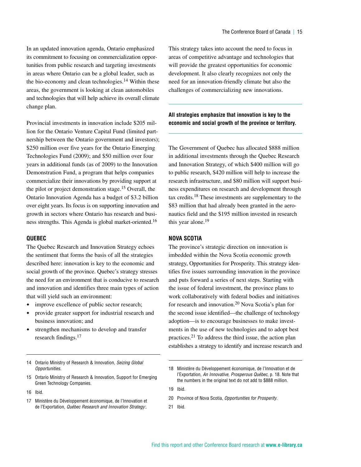In an updated innovation agenda, Ontario emphasized its commitment to focusing on commercialization opportunities from public research and targeting investments in areas where Ontario can be a global leader, such as the bio-economy and clean technologies.<sup>14</sup> Within these areas, the government is looking at clean automobiles and technologies that will help achieve its overall climate change plan.

Provincial investments in innovation include \$205 million for the Ontario Venture Capital Fund (limited partnership between the Ontario government and investors); \$250 million over five years for the Ontario Emerging Technologies Fund (2009); and \$50 million over four years in additional funds (as of 2009) to the Innovation Demonstration Fund, a program that helps companies commercialize their innovations by providing support at the pilot or project demonstration stage.<sup>15</sup> Overall, the Ontario Innovation Agenda has a budget of \$3.2 billion over eight years. Its focus is on supporting innovation and growth in sectors where Ontario has research and business strengths. This Agenda is global market-oriented.16

#### **Quebec**

The Quebec Research and Innovation Strategy echoes the sentiment that forms the basis of all the strategies described here: innovation is key to the economic and social growth of the province. Quebec's strategy stresses the need for an environment that is conducive to research and innovation and identifies three main types of action that will yield such an environment:

- improve excellence of public sector research;
- provide greater support for industrial research and business innovation; and
- strengthen mechanisms to develop and transfer research findings.<sup>17</sup>

14 Ontario Ministry of Research & Innovation, *Seizing Global Opportunities*.

- 15 Ontario Ministry of Research & Innovation, Support for Emerging Green Technology Companies.
- 16 Ibid.

This strategy takes into account the need to focus in areas of competitive advantage and technologies that will provide the greatest opportunities for economic development. It also clearly recognizes not only the need for an innovation-friendly climate but also the challenges of commercializing new innovations.

#### **All strategies emphasize that innovation is key to the economic and social growth of the province or territory.**

The Government of Quebec has allocated \$888 million in additional investments through the Quebec Research and Innovation Strategy, of which \$400 million will go to public research, \$420 million will help to increase the research infrastructure, and \$80 million will support business expenditures on research and development through tax credits.18 These investments are supplementary to the \$83 million that had already been granted in the aeronautics field and the \$195 million invested in research this year alone.<sup>19</sup>

#### **Nova Scotia**

The province's strategic direction on innovation is imbedded within the Nova Scotia economic growth strategy, Opportunities for Prosperity. This strategy identifies five issues surrounding innovation in the province and puts forward a series of next steps. Starting with the issue of federal investment, the province plans to work collaboratively with federal bodies and initiatives for research and innovation.20 Nova Scotia's plan for the second issue identified—the challenge of technology adoption—is to encourage businesses to make investments in the use of new technologies and to adopt best practices.<sup>21</sup> To address the third issue, the action plan establishes a strategy to identify and increase research and

19 Ibid.

- 20 Province of Nova Scotia, *Opportunities for Prosperity*.
- 21 Ibid.

<sup>17</sup> Ministère du Développement économique, de l'Innovation et de l'Exportation, *Québec Research and Innovation Strategy:*.

<sup>18</sup> Ministère du Développement économique, de l'Innovation et de l'Exportation, *An Innovative, Prosperous Québec*, p. 18. Note that the numbers in the original text do not add to \$888 million.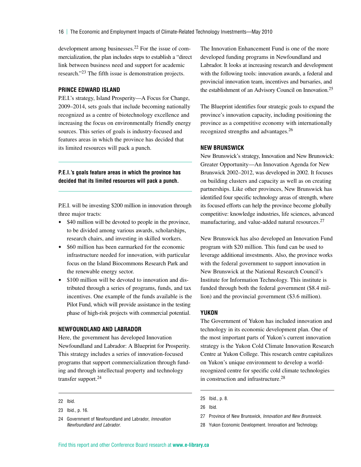development among businesses.22 For the issue of commercialization, the plan includes steps to establish a "direct link between business need and support for academic research."<sup>23</sup> The fifth issue is demonstration projects.

#### **Prince Edward Island**

P.E.I.'s strategy, Island Prosperity—A Focus for Change, 2009–2014, sets goals that include becoming nationally recognized as a centre of biotechnology excellence and increasing the focus on environmentally friendly energy sources. This series of goals is industry-focused and features areas in which the province has decided that its limited resources will pack a punch.

**P.E.I.'s goals feature areas in which the province has decided that its limited resources will pack a punch.**

P.E.I. will be investing \$200 million in innovation through three major tracts:

- \$40 million will be devoted to people in the province, to be divided among various awards, scholarships, research chairs, and investing in skilled workers.
- $\bullet$  \$60 million has been earmarked for the economic infrastructure needed for innovation, with particular focus on the Island Biocommons Research Park and the renewable energy sector.
- \$100 million will be devoted to innovation and distributed through a series of programs, funds, and tax incentives. One example of the funds available is the Pilot Fund, which will provide assistance in the testing phase of high-risk projects with commercial potential.

#### **Newfoundland and Labrador**

Here, the government has developed Innovation Newfoundland and Labrador: A Blueprint for Prosperity. This strategy includes a series of innovation-focused programs that support commercialization through funding and through intellectual property and technology transfer support.24

The Innovation Enhancement Fund is one of the more developed funding programs in Newfoundland and Labrador. It looks at increasing research and development with the following tools: innovation awards, a federal and provincial innovation team, incentives and bursaries, and the establishment of an Advisory Council on Innovation.<sup>25</sup>

The Blueprint identifies four strategic goals to expand the province's innovation capacity, including positioning the province as a competitive economy with internationally recognized strengths and advantages.26

#### **New Brunswick**

New Brunswick's strategy, Innovation and New Brunswick: Greater Opportunity—An Innovation Agenda for New Brunswick 2002–2012, was developed in 2002. It focuses on building clusters and capacity as well as on creating partnerships. Like other provinces, New Brunswick has identified four specific technology areas of strength, where its focused efforts can help the province become globally competitive: knowledge industries, life sciences, advanced manufacturing, and value-added natural resources.<sup>27</sup>

New Brunswick has also developed an Innovation Fund program with \$20 million. This fund can be used to leverage additional investments. Also, the province works with the federal government to support innovation in New Brunswick at the National Research Council's Institute for Information Technology. This institute is funded through both the federal government (\$8.4 million) and the provincial government (\$3.6 million).

#### **Yukon**

The Government of Yukon has included innovation and technology in its economic development plan. One of the most important parts of Yukon's current innovation strategy is the Yukon Cold Climate Innovation Research Centre at Yukon College. This research centre capitalizes on Yukon's unique environment to develop a worldrecognized centre for specific cold climate technologies in construction and infrastructure.28

28 Yukon Economic Development. Innovation and Technology.

<sup>22</sup> Ibid.

<sup>23</sup> Ibid., p. 16.

<sup>24</sup> Government of Newfoundland and Labrador, *Innovation Newfoundland and Labrador*.

<sup>25</sup> Ibid., p. 8.

<sup>26</sup> Ibid.

<sup>27</sup> Province of New Brunswick, *Innovation and New Brunswick*.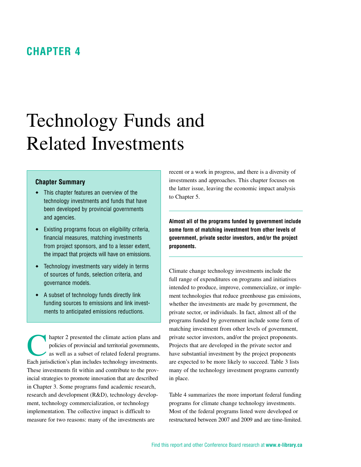### <span id="page-22-0"></span>**Chapter 4**

# Technology Funds and Related Investments

#### **Chapter Summary**

- This chapter features an overview of the technology investments and funds that have been developed by provincial governments and agencies.
- Existing programs focus on eligibility criteria, financial measures, matching investments from project sponsors, and to a lesser extent, the impact that projects will have on emissions.
- Technology investments vary widely in terms of sources of funds, selection criteria, and governance models.
- A subset of technology funds directly link funding sources to emissions and link investments to anticipated emissions reductions.

hapter 2 presented the climate action plans and policies of provincial and territorial governments, as well as a subset of related federal programs. Each jurisdiction's plan includes technology investments. These investments fit within and contribute to the provincial strategies to promote innovation that are described in Chapter 3. Some programs fund academic research, research and development (R&D), technology development, technology commercialization, or technology implementation. The collective impact is difficult to measure for two reasons: many of the investments are

recent or a work in progress, and there is a diversity of investments and approaches. This chapter focuses on the latter issue, leaving the economic impact analysis to Chapter 5.

**Almost all of the programs funded by government include some form of matching investment from other levels of government, private sector investors, and/or the project proponents.**

Climate change technology investments include the full range of expenditures on programs and initiatives intended to produce, improve, commercialize, or implement technologies that reduce greenhouse gas emissions, whether the investments are made by government, the private sector, or individuals. In fact, almost all of the programs funded by government include some form of matching investment from other levels of government, private sector investors, and/or the project proponents. Projects that are developed in the private sector and have substantial investment by the project proponents are expected to be more likely to succeed. Table 3 lists many of the technology investment programs currently in place.

Table 4 summarizes the more important federal funding programs for climate change technology investments. Most of the federal programs listed were developed or restructured between 2007 and 2009 and are time-limited.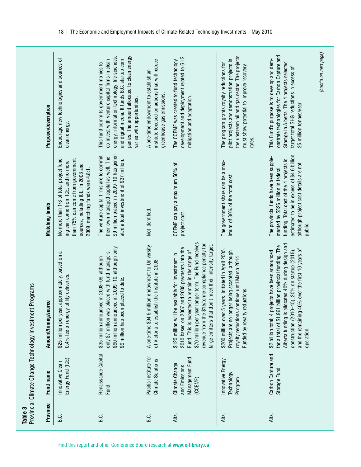| Table 3  | Provincial Climate Change Technology Investmen                | t Programs                                                                                                                                                                                                                                                                                                                        |                                                                                                                                                                                                                             |                                                                                                                                                                                                                                                                          |
|----------|---------------------------------------------------------------|-----------------------------------------------------------------------------------------------------------------------------------------------------------------------------------------------------------------------------------------------------------------------------------------------------------------------------------|-----------------------------------------------------------------------------------------------------------------------------------------------------------------------------------------------------------------------------|--------------------------------------------------------------------------------------------------------------------------------------------------------------------------------------------------------------------------------------------------------------------------|
| Province | Fund name                                                     | urce<br>Amount/timing/so                                                                                                                                                                                                                                                                                                          | <b>Matching funds</b>                                                                                                                                                                                                       | Purpose/description                                                                                                                                                                                                                                                      |
| ن<br>B   | Energy Fund (ICE)<br>Innovative Clean                         | \$25 million per year, approximately, based on a<br>0.4% fee on energy utility deliveries.                                                                                                                                                                                                                                        | No more than 1/3 of total project fund-<br>than 75% can come from government<br>ing can come from ICE, and no more<br>sources, including ICE. In 2008 and<br>2009, matching funds were 4.8:1.                               | Encourage new technologies and sources of<br>clean energy                                                                                                                                                                                                                |
| B.C.     | Renaissance Capital<br>Fund                                   | \$90 million announced in 2009-10, although only<br>only \$7 million was placed with fund managers;<br>\$35 million announced in 2008-09, although<br>\$9 million has been placed to date.                                                                                                                                        | \$9 million placed in 2009-10 has gener-<br>The venture capital firms are to commit<br>their own managed capital as well. The<br>ated a total investment of \$37 million.                                                   | panies. The amount allocated to clean energy<br>energy, information technology, life sciences,<br>and digital media. It funds B.C. startup com-<br>co-invest with venture capital firms in clean<br>This fund commits government monies to<br>varies with opportunities. |
| i<br>S.G | Pacific Institute for<br><b>Climate Solutions</b>             | A one-time \$94.5 million endowment to University<br>of Victoria to establish the Institute in 2008                                                                                                                                                                                                                               | Not identified.                                                                                                                                                                                                             | institute focused on actions that will reduce<br>A one-time endowment to establish an<br>greenhouse gas emissions.                                                                                                                                                       |
| Alta.    | Management Fund<br>Climate Change<br>and Emissions<br>(CCEMF) | \$70 million per year longer term. The Fund receives<br>revenue from the \$15/tonne compliance penalty for<br>don't meet their intensity target.<br>2010 based on 2007 and 2008 payments into the<br>Fund. This is expected to remain in the range of<br>\$120 million will be available for investment in<br>large emitters that | CCEMF can pay a maximum 50% of<br>project cost.                                                                                                                                                                             | development and deployment related to GHG<br>The CCEMF was created to fund technology<br>mitigation and adaptation.                                                                                                                                                      |
| Alta.    | Innovative Energy<br>Technology<br>Program                    | \$200 million over 5 years, initiated in April 2005.<br>Projects are no longer being accepted, although<br>royalty reductions continue until March 2014.<br><i>reductions</i><br>Funded by royalty                                                                                                                                | The government share can be a max-<br>imum of 30% of the total cost.                                                                                                                                                        | the upstream oil and gas sector. The projects<br>pilot projects and demonstration projects in<br>The program grants royalty reductions for<br>must show potential to improve recovery<br>rates.                                                                          |
| Alta.    | Carbon Capture and<br>Storage Fund                            | Alberta funding is allocated 40% during design and<br>for a total of \$1.961 billion provincial funding. The<br>and the remaining 40% over the first 10 years of<br>construction $(2010-15)$ , $20\%$ on startup $(2015)$ ,<br>\$2 billion total; 4 projects have been announced<br>operation.                                    | estimated to be in excess of \$4.6 billion,<br>The provincial funds have been supple-<br>funding. Total cost of the 4 projects is<br>although project cost details are not<br>mented by \$526 million in federal<br>public. | onstrate technologies for Carbon Capture and<br>This Fund's purpose is to develop and dem-<br>Storage in Alberta. The 4 projects selected<br>target total GHG reductions in excess of<br>25 million tonnes/year.                                                         |
|          |                                                               |                                                                                                                                                                                                                                                                                                                                   |                                                                                                                                                                                                                             | (cont'd on next page)                                                                                                                                                                                                                                                    |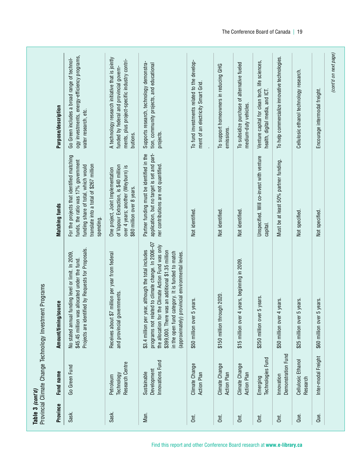| Province | Fund name                                      | Amount/timing/source                                                                                                                                                                                                                                                                                                          | <b>Matching funds</b>                                                                                                                                                           | Purpose/description                                                                                                                                       |
|----------|------------------------------------------------|-------------------------------------------------------------------------------------------------------------------------------------------------------------------------------------------------------------------------------------------------------------------------------------------------------------------------------|---------------------------------------------------------------------------------------------------------------------------------------------------------------------------------|-----------------------------------------------------------------------------------------------------------------------------------------------------------|
| Sask.    | Go Green Fund                                  | Projects are identified by Requests for Proposals.<br>No stated annual funding level or limit. In 2009,<br>allocated under the fund.<br>\$45.45 million was                                                                                                                                                                   | For the projects that identified matching<br>funds, the ratio was 17% government<br>translate into a total of \$267 million<br>funding share of total, which would<br>spending. | ogy investments, energy-efficiency programs,<br>Go Green includes a broad range of technol-<br>water research, etc.                                       |
| Sask.    | Research Centre<br>Technology<br>Petroleum     | million per year from federal<br>and provincial governments.<br>Receives about \$7                                                                                                                                                                                                                                            | of Vapour Extraction, is \$40 million<br>over 4 years; another (Weyburn) is<br>One project, Joint Implementation<br>\$80 million over 8 years.                                  | A technology research initiative that is jointly<br>ments, plus project-specific industry contri-<br>funded by federal and provincial govern-<br>butions. |
| Man.     | Innovations Fund<br>Development<br>Sustainable | programs not related to climate change. In 2006-07<br>the allocation for the Climate Action Fund was only<br>\$3.4 million per year, although the total includes<br>\$399,000. There was an additional \$1.35 million<br>in the open fund category. It is funded to match<br>(approximately) provincial environmental levies. | application, but no target is set and part-<br>Partner funding must be identified in the<br>ner contributions are not quantified.                                               | Supports research, technology demonstra-<br>tion, community projects, and educational<br>projects.                                                        |
| δπ.      | Climate Change<br><b>Action Plan</b>           | years.<br>\$50 million over 5                                                                                                                                                                                                                                                                                                 | Not identified.                                                                                                                                                                 | To fund investments related to the develop-<br>ment of an electricity Smart Grid.                                                                         |
| δπ.      | Climate Change<br>Action Plan                  | \$150 million through 2020.                                                                                                                                                                                                                                                                                                   | Not identified.                                                                                                                                                                 | To support homeowners in reducing GHG<br>emissions.                                                                                                       |
| Ōπ.      | Climate Change<br><b>Action Plan</b>           | years, beginning in 2009.<br>\$15 million over 4                                                                                                                                                                                                                                                                              | Not identified.                                                                                                                                                                 | To subsidize purchase of alternative fueled<br>medium-duty vehicles.                                                                                      |
| Ōπ.      | Technologies Fund<br>Emerging                  | \$250 million over 5 years.                                                                                                                                                                                                                                                                                                   | Unspecified. Will co-invest with venture<br>capital.                                                                                                                            | Venture capital for clean tech, life sciences,<br>health, digital media, and ICT.                                                                         |
| δti.     | Demonstration Fund<br>Innovation               | years.<br>\$50 million over 4                                                                                                                                                                                                                                                                                                 | Must be at least 50% partner funding.                                                                                                                                           | To help commercialize innovative technologies.                                                                                                            |
| Que.     | Cellulosic Ethanol<br>Research                 | years.<br>\$25 million over 5                                                                                                                                                                                                                                                                                                 | Not specified.                                                                                                                                                                  | Cellulosic ethanol technology research.                                                                                                                   |
| Que.     | Inter-modal Freight                            | years.<br>\$60 million over 5                                                                                                                                                                                                                                                                                                 | Not specified.                                                                                                                                                                  | Encourage intermodal freight.                                                                                                                             |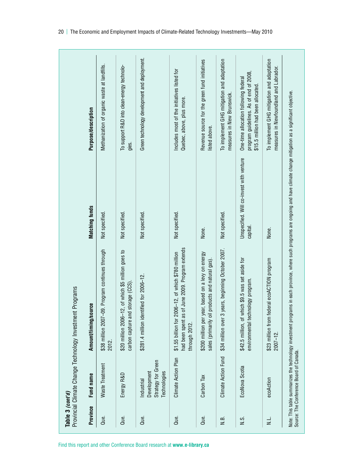| Tahla 2 /acm | Provincial Climate Change Technology Investment Programs<br>ニー・コンド<br>$\overline{a}$<br>צוני שוש<br>2 |  |
|--------------|-------------------------------------------------------------------------------------------------------|--|

|                  |                                                                 | Provincial Climate Change Technology Investment Programs                                                                     |                                                      |                                                                                                                       |
|------------------|-----------------------------------------------------------------|------------------------------------------------------------------------------------------------------------------------------|------------------------------------------------------|-----------------------------------------------------------------------------------------------------------------------|
| Province         | Fund name                                                       | <b>SOUTCE</b><br>Amount/timing/                                                                                              | <b>Matching funds</b>                                | Purpose/description                                                                                                   |
| Que.             | Waste Treatment                                                 | 7-09. Program continues through<br>\$38 million 200<br>2012.                                                                 | Not specified                                        | Methanization of organic waste at landfills.                                                                          |
| Que.             | Energy R&D                                                      | \$20 million 2006-12, of which \$5 million goes to<br>and storage (CCS)<br>carbon capture                                    | Not specified.                                       | To support R&D into clean-energy technolo-<br>gies.                                                                   |
| Que.             | Strategy for Green<br>Technologies<br>Development<br>Industrial | \$281.4 million identified for 2006-12.                                                                                      | Not specified.                                       | Green technology development and deployment.                                                                          |
| Que.             | Climate Action Plan                                             | as of June 2009. Program extends<br>2006-12, of which \$780 million<br>\$1.55 billion for<br>had been spent<br>through 2012. | Not specified.                                       | Includes most of the initiatives listed for<br>Quebec, above, plus more.                                              |
| Que.             | Carbon Tax                                                      | r year, based on a levy on energy<br>oil products and natural gas).<br>\$200 million pe<br>sales (primarily                  | None.                                                | Revenue source for the green fund initiatives<br>listed above.                                                        |
| $\overline{N}$ . | Climate Action Fund                                             | 3 years, beginning October 2007.<br>\$34 million over                                                                        | Not specified.                                       | To implement GHG mitigation and adaptation<br>measures in New Brunswick.                                              |
| $\frac{0}{2}$    | EcoNova Scotia                                                  | \$42.5 million, of which \$9.5 was set aside for<br>environmental technology program.                                        | Unspecified. Will co-invest with venture<br>capital. | program guidelines. As of end of 2008,<br>One-time allocation following federal<br>\$15.5 million had been allocated. |
| نے<br>N          | ecoAction                                                       | \$23 million from federal ecoACTION program<br>$2007 - 12$ .                                                                 | None.                                                | To implement GHG mitigation and adaptation<br>measures in Newfoundland and Labrador.                                  |

Note: This table summarizes the technology investment programs in each province, where such programs are ongoing and have climate change mitigation as a significant objective.

Note: This table summarizes the technology investment programs in each province, where such programs are ongoing and have climate change mitigation as a significant objective.<br>Source: The Conference Board of Canada.

Source: The Conference Board of Canada.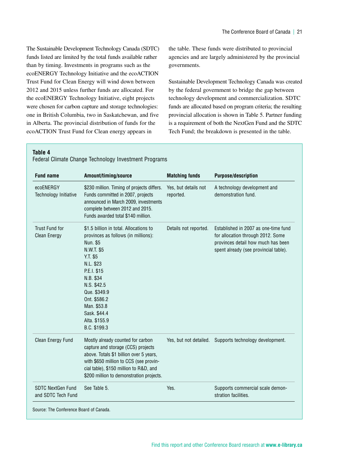The Sustainable Development Technology Canada (SDTC) funds listed are limited by the total funds available rather than by timing. Investments in programs such as the ecoENERGY Technology Initiative and the ecoACTION Trust Fund for Clean Energy will wind down between 2012 and 2015 unless further funds are allocated. For the ecoENERGY Technology Initiative, eight projects were chosen for carbon capture and storage technologies: one in British Columbia, two in Saskatchewan, and five in Alberta. The provincial distribution of funds for the ecoACTION Trust Fund for Clean energy appears in

the table. These funds were distributed to provincial agencies and are largely administered by the provincial governments.

Sustainable Development Technology Canada was created by the federal government to bridge the gap between technology development and commercialization. SDTC funds are allocated based on program criteria; the resulting provincial allocation is shown in Table 5. Partner funding is a requirement of both the NextGen Fund and the SDTC Tech Fund; the breakdown is presented in the table.

#### **Table 4**

| <b>Fund name</b>                             | Amount/timing/source                                                                                                                                                                                                                                                        | <b>Matching funds</b>             | <b>Purpose/description</b>                                                                                                                               |
|----------------------------------------------|-----------------------------------------------------------------------------------------------------------------------------------------------------------------------------------------------------------------------------------------------------------------------------|-----------------------------------|----------------------------------------------------------------------------------------------------------------------------------------------------------|
| ecoENERGY<br>Technology Initiative           | \$230 million. Timing of projects differs.<br>Funds committed in 2007, projects<br>announced in March 2009, investments<br>complete between 2012 and 2015.<br>Funds awarded total \$140 million.                                                                            | Yes, but details not<br>reported. | A technology development and<br>demonstration fund.                                                                                                      |
| <b>Trust Fund for</b><br><b>Clean Energy</b> | \$1.5 billion in total. Allocations to<br>provinces as follows (in millions):<br>Nun. \$5<br>N.W.T. \$5<br>Y.T. \$5<br>N.L. \$23<br>P.E.I. \$15<br>N.B. \$34<br>N.S. \$42.5<br>Que. \$349.9<br>Ont. \$586.2<br>Man. \$53.8<br>Sask. \$44.4<br>Alta. \$155.9<br>B.C. \$199.3 | Details not reported.             | Established in 2007 as one-time fund<br>for allocation through 2012. Some<br>provinces detail how much has been<br>spent already (see provincial table). |
| Clean Energy Fund                            | Mostly already counted for carbon<br>capture and storage (CCS) projects<br>above. Totals \$1 billion over 5 years,<br>with \$650 million to CCS (see provin-<br>cial table), \$150 million to R&D, and<br>\$200 million to demonstration projects.                          | Yes, but not detailed.            | Supports technology development.                                                                                                                         |
| SDTC NextGen Fund<br>and SDTC Tech Fund      | See Table 5.                                                                                                                                                                                                                                                                | Yes.                              | Supports commercial scale demon-<br>stration facilities.                                                                                                 |

Federal Climate Change Technology Investment Programs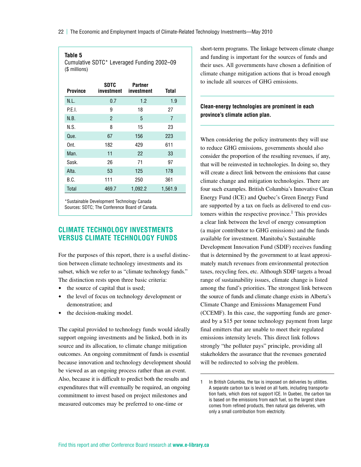<span id="page-27-0"></span>22 | The Economic and Employment Impacts of Climate-Related Technology Investments—May 2010

#### **Table 5**

Cumulative SDTC\* Leveraged Funding 2002–09 (\$ millions)

| <b>Province</b> | <b>SDTC</b><br>investment | Partner<br>investment | Total   |
|-----------------|---------------------------|-----------------------|---------|
| N.L.            | 0.7                       | 1.2                   | 1.9     |
| P.E.I.          | 9                         | 18                    | 27      |
| N.B.            | $\overline{2}$            | 5                     | 7       |
| N.S.            | 8                         | 15                    | 23      |
| Que.            | 67                        | 156                   | 223     |
| Ont.            | 182                       | 429                   | 611     |
| Man.            | 11                        | 22                    | 33      |
| Sask.           | 26                        | 71                    | 97      |
| Alta.           | 53                        | 125                   | 178     |
| B.C.            | 111                       | 250                   | 361     |
| <b>Total</b>    | 469.7                     | 1,092.2               | 1,561.9 |

\*Sustainable Development Technology Canada Sources: SDTC; The Conference Board of Canada.

#### **Climate Technology Investments Versus Climate Technology Funds**

For the purposes of this report, there is a useful distinction between climate technology investments and its subset, which we refer to as "climate technology funds." The distinction rests upon three basic criteria:

- the source of capital that is used;
- the level of focus on technology development or demonstration; and
- $\bullet$  the decision-making model.

The capital provided to technology funds would ideally support ongoing investments and be linked, both in its source and its allocation, to climate change mitigation outcomes. An ongoing commitment of funds is essential because innovation and technology development should be viewed as an ongoing process rather than an event. Also, because it is difficult to predict both the results and expenditures that will eventually be required, an ongoing commitment to invest based on project milestones and measured outcomes may be preferred to one-time or

short-term programs. The linkage between climate change and funding is important for the sources of funds and their uses. All governments have chosen a definition of climate change mitigation actions that is broad enough to include all sources of GHG emissions.

#### **Clean-energy technologies are prominent in each province's climate action plan.**

When considering the policy instruments they will use to reduce GHG emissions, governments should also consider the proportion of the resulting revenues, if any, that will be reinvested in technologies. In doing so, they will create a direct link between the emissions that cause climate change and mitigation technologies. There are four such examples. British Columbia's Innovative Clean Energy Fund (ICE) and Quebec's Green Energy Fund are supported by a tax on fuels as delivered to end customers within the respective province.<sup>1</sup> This provides a clear link between the level of energy consumption (a major contributor to GHG emissions) and the funds available for investment. Manitoba's Sustainable Development Innovation Fund (SDIF) receives funding that is determined by the government to at least approximately match revenues from environmental protection taxes, recycling fees, etc. Although SDIF targets a broad range of sustainability issues, climate change is listed among the fund's priorities. The strongest link between the source of funds and climate change exists in Alberta's Climate Change and Emissions Management Fund (CCEMF). In this case, the supporting funds are generated by a \$15 per tonne technology payment from large final emitters that are unable to meet their regulated emissions intensity levels. This direct link follows strongly "the polluter pays" principle, providing all stakeholders the assurance that the revenues generated will be redirected to solving the problem.

<sup>1</sup> In British Columbia, the tax is imposed on deliveries by utilities. A separate carbon tax is levied on all fuels, including transportation fuels, which does not support ICE. In Quebec, the carbon tax is based on the emissions from each fuel, so the largest share comes from refined products, then natural gas deliveries, with only a small contribution from electricity.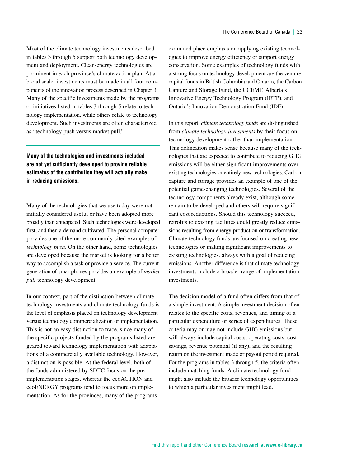Most of the climate technology investments described in tables 3 through 5 support both technology development and deployment. Clean-energy technologies are prominent in each province's climate action plan. At a broad scale, investments must be made in all four components of the innovation process described in Chapter 3. Many of the specific investments made by the programs or initiatives listed in tables 3 through 5 relate to technology implementation, while others relate to technology development. Such investments are often characterized as "technology push versus market pull."

**Many of the technologies and investments included are not yet sufficiently developed to provide reliable estimates of the contribution they will actually make in reducing emissions.**

Many of the technologies that we use today were not initially considered useful or have been adopted more broadly than anticipated. Such technologies were developed first, and then a demand cultivated. The personal computer provides one of the more commonly cited examples of *technology push*. On the other hand, some technologies are developed because the market is looking for a better way to accomplish a task or provide a service. The current generation of smartphones provides an example of *market pull* technology development.

In our context, part of the distinction between climate technology investments and climate technology funds is the level of emphasis placed on technology development versus technology commercialization or implementation. This is not an easy distinction to trace, since many of the specific projects funded by the programs listed are geared toward technology implementation with adaptations of a commercially available technology. However, a distinction is possible. At the federal level, both of the funds administered by SDTC focus on the preimplementation stages, whereas the ecoACTION and ecoENERGY programs tend to focus more on implementation. As for the provinces, many of the programs

examined place emphasis on applying existing technologies to improve energy efficiency or support energy conservation. Some examples of technology funds with a strong focus on technology development are the venture capital funds in British Columbia and Ontario, the Carbon Capture and Storage Fund, the CCEMF, Alberta's Innovative Energy Technology Program (IETP), and Ontario's Innovation Demonstration Fund (IDF).

In this report, *climate technology funds* are distinguished from *climate technology investments* by their focus on technology development rather than implementation. This delineation makes sense because many of the technologies that are expected to contribute to reducing GHG emissions will be either significant improvements over existing technologies or entirely new technologies. Carbon capture and storage provides an example of one of the potential game-changing technologies. Several of the technology components already exist, although some remain to be developed and others will require significant cost reductions. Should this technology succeed, retrofits to existing facilities could greatly reduce emissions resulting from energy production or transformation. Climate technology funds are focused on creating new technologies or making significant improvements to existing technologies, always with a goal of reducing emissions. Another difference is that climate technology investments include a broader range of implementation investments.

The decision model of a fund often differs from that of a simple investment. A simple investment decision often relates to the specific costs, revenues, and timing of a particular expenditure or series of expenditures. These criteria may or may not include GHG emissions but will always include capital costs, operating costs, cost savings, revenue potential (if any), and the resulting return on the investment made or payout period required. For the programs in tables 3 through 5, the criteria often include matching funds. A climate technology fund might also include the broader technology opportunities to which a particular investment might lead.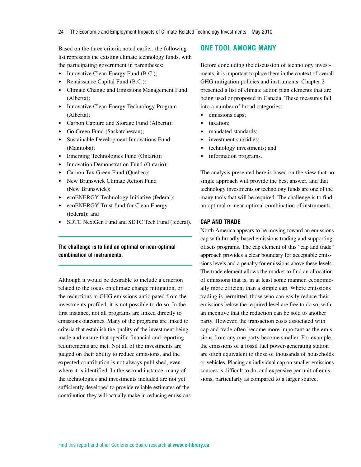#### <span id="page-29-0"></span>Based on the three criteria noted earlier, the following list represents the existing climate technology funds, with the participating government in parentheses:

- Innovative Clean Energy Fund (B.C.);
- Renaissance Capital Fund (B.C.);
- Climate Change and Emissions Management Fund (Alberta);
- Innovative Clean Energy Technology Program (Alberta);
- Carbon Capture and Storage Fund (Alberta);
- Go Green Fund (Saskatchewan);
- Sustainable Development Innovations Fund (Manitoba);
- Emerging Technologies Fund (Ontario);
- Innovation Demonstration Fund (Ontario);
- Carbon Tax Green Fund (Quebec);
- New Brunswick Climate Action Fund (New Brunswick);
- ecoENERGY Technology Initiative (federal);
- ecoENERGY Trust fund for Clean Energy (federal); and
- SDTC NextGen Fund and SDTC Tech Fund (federal).

#### **The challenge is to find an optimal or near-optimal combination of instruments.**

Although it would be desirable to include a criterion related to the focus on climate change mitigation, or the reductions in GHG emissions anticipated from the investments profiled, it is not possible to do so. In the first instance, not all programs are linked directly to emissions outcomes. Many of the programs are linked to criteria that establish the quality of the investment being made and ensure that specific financial and reporting requirements are met. Not all of the investments are judged on their ability to reduce emissions, and the expected contribution is not always published, even where it is identified. In the second instance, many of the technologies and investments included are not yet sufficiently developed to provide reliable estimates of the contribution they will actually make in reducing emissions.

#### **One Tool Among Many**

Before concluding the discussion of technology investments, it is important to place them in the context of overall GHG mitigation policies and instruments. Chapter 2 presented a list of climate action plan elements that are being used or proposed in Canada. These measures fall into a number of broad categories:

- emissions caps;
- taxation;
- mandated standards;
- investment subsidies;
- technology investments; and
- information programs.

The analysis presented here is based on the view that no single approach will provide the best answer, and that technology investments or technology funds are one of the many tools that will be required. The challenge is to find an optimal or near-optimal combination of instruments.

#### **Cap and Trade**

North America appears to be moving toward an emissions cap with broadly based emissions trading and supporting offsets programs. The cap element of this "cap and trade" approach provides a clear boundary for acceptable emissions levels and a penalty for emissions above these levels. The trade element allows the market to find an allocation of emissions that is, in at least some manner, economically more efficient than a simple cap. Where emissions trading is permitted, those who can easily reduce their emissions below the required level are free to do so, with an incentive that the reduction can be sold to another party. However, the transaction costs associated with cap and trade often become more important as the emissions from any one party become smaller. For example, the emissions of a fossil fuel power-generating station are often equivalent to those of thousands of households or vehicles. Placing an individual cap on smaller emissions sources is difficult to do, and expensive per unit of emissions, particularly as compared to a larger source.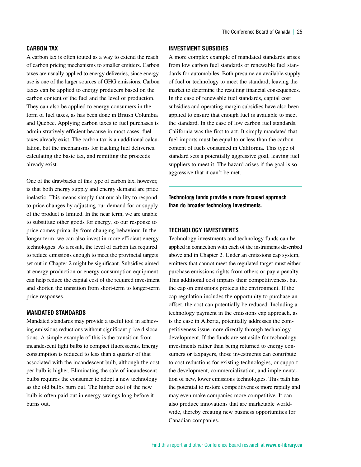#### **Carbon Tax**

A carbon tax is often touted as a way to extend the reach of carbon pricing mechanisms to smaller emitters. Carbon taxes are usually applied to energy deliveries, since energy use is one of the larger sources of GHG emissions. Carbon taxes can be applied to energy producers based on the carbon content of the fuel and the level of production. They can also be applied to energy consumers in the form of fuel taxes, as has been done in British Columbia and Quebec. Applying carbon taxes to fuel purchases is administratively efficient because in most cases, fuel taxes already exist. The carbon tax is an additional calculation, but the mechanisms for tracking fuel deliveries, calculating the basic tax, and remitting the proceeds already exist.

One of the drawbacks of this type of carbon tax, however, is that both energy supply and energy demand are price inelastic. This means simply that our ability to respond to price changes by adjusting our demand for or supply of the product is limited. In the near term, we are unable to substitute other goods for energy, so our response to price comes primarily from changing behaviour. In the longer term, we can also invest in more efficient energy technologies. As a result, the level of carbon tax required to reduce emissions enough to meet the provincial targets set out in Chapter 2 might be significant. Subsidies aimed at energy production or energy consumption equipment can help reduce the capital cost of the required investment and shorten the transition from short-term to longer-term price responses.

#### **Mandated Standards**

Mandated standards may provide a useful tool in achieving emissions reductions without significant price dislocations. A simple example of this is the transition from incandescent light bulbs to compact fluorescents. Energy consumption is reduced to less than a quarter of that associated with the incandescent bulb, although the cost per bulb is higher. Eliminating the sale of incandescent bulbs requires the consumer to adopt a new technology as the old bulbs burn out. The higher cost of the new bulb is often paid out in energy savings long before it burns out.

#### **Investment Subsidies**

A more complex example of mandated standards arises from low carbon fuel standards or renewable fuel standards for automobiles. Both presume an available supply of fuel or technology to meet the standard, leaving the market to determine the resulting financial consequences. In the case of renewable fuel standards, capital cost subsidies and operating margin subsidies have also been applied to ensure that enough fuel is available to meet the standard. In the case of low carbon fuel standards, California was the first to act. It simply mandated that fuel imports must be equal to or less than the carbon content of fuels consumed in California. This type of standard sets a potentially aggressive goal, leaving fuel suppliers to meet it. The hazard arises if the goal is so aggressive that it can't be met.

**Technology funds provide a more focused approach than do broader technology investments.**

#### **Technology Investments**

Technology investments and technology funds can be applied in connection with each of the instruments described above and in Chapter 2. Under an emissions cap system, emitters that cannot meet the regulated target must either purchase emissions rights from others or pay a penalty. This additional cost impairs their competitiveness, but the cap on emissions protects the environment. If the cap regulation includes the opportunity to purchase an offset, the cost can potentially be reduced. Including a technology payment in the emissions cap approach, as is the case in Alberta, potentially addresses the competitiveness issue more directly through technology development. If the funds are set aside for technology investments rather than being returned to energy consumers or taxpayers, those investments can contribute to cost reductions for existing technologies, or support the development, commercialization, and implementation of new, lower emissions technologies. This path has the potential to restore competitiveness more rapidly and may even make companies more competitive. It can also produce innovations that are marketable worldwide, thereby creating new business opportunities for Canadian companies.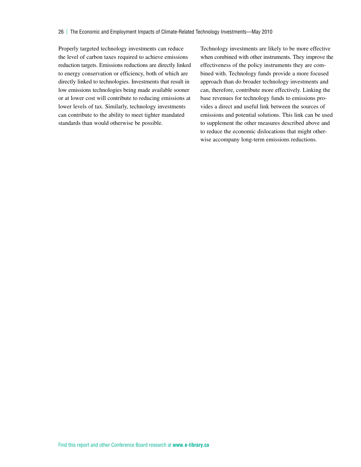Properly targeted technology investments can reduce the level of carbon taxes required to achieve emissions reduction targets. Emissions reductions are directly linked to energy conservation or efficiency, both of which are directly linked to technologies. Investments that result in low emissions technologies being made available sooner or at lower cost will contribute to reducing emissions at lower levels of tax. Similarly, technology investments can contribute to the ability to meet tighter mandated standards than would otherwise be possible.

Technology investments are likely to be more effective when combined with other instruments. They improve the effectiveness of the policy instruments they are combined with. Technology funds provide a more focused approach than do broader technology investments and can, therefore, contribute more effectively. Linking the base revenues for technology funds to emissions provides a direct and useful link between the sources of emissions and potential solutions. This link can be used to supplement the other measures described above and to reduce the economic dislocations that might otherwise accompany long-term emissions reductions.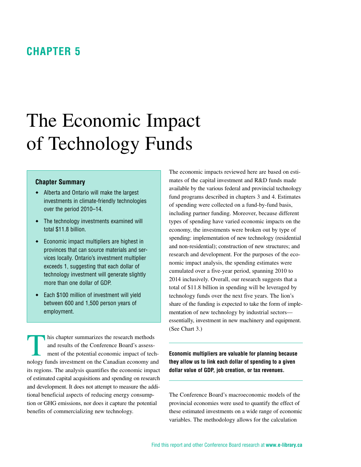### <span id="page-32-0"></span>**Chapter 5**

# The Economic Impact of Technology Funds

#### **Chapter Summary**

- Alberta and Ontario will make the largest investments in climate-friendly technologies over the period 2010–14.
- The technology investments examined will total \$11.8 billion.
- Economic impact multipliers are highest in provinces that can source materials and services locally. Ontario's investment multiplier exceeds 1, suggesting that each dollar of technology investment will generate slightly more than one dollar of GDP.
- Each \$100 million of investment will yield between 600 and 1,500 person years of employment.

his chapter summarizes the research methods and results of the Conference Board's assessment of the potential economic impact of technology funds investment on the Canadian economy and its regions. The analysis quantifies the economic impact of estimated capital acquisitions and spending on research and development. It does not attempt to measure the additional beneficial aspects of reducing energy consumption or GHG emissions, nor does it capture the potential benefits of commercializing new technology.

The economic impacts reviewed here are based on estimates of the capital investment and R&D funds made available by the various federal and provincial technology fund programs described in chapters 3 and 4. Estimates of spending were collected on a fund-by-fund basis, including partner funding. Moreover, because different types of spending have varied economic impacts on the economy, the investments were broken out by type of spending: implementation of new technology (residential and non-residential); construction of new structures; and research and development. For the purposes of the economic impact analysis, the spending estimates were cumulated over a five-year period, spanning 2010 to 2014 inclusively. Overall, our research suggests that a total of \$11.8 billion in spending will be leveraged by technology funds over the next five years. The lion's share of the funding is expected to take the form of implementation of new technology by industrial sectors essentially, investment in new machinery and equipment. (See Chart 3.)

**Economic multipliers are valuable for planning because they allow us to link each dollar of spending to a given dollar value of GDP, job creation, or tax revenues.**

The Conference Board's macroeconomic models of the provincial economies were used to quantify the effect of these estimated investments on a wide range of economic variables. The methodology allows for the calculation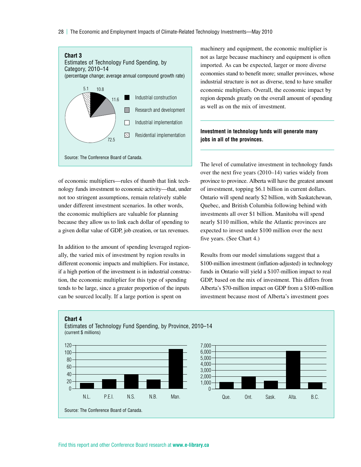28 | The Economic and Employment Impacts of Climate-Related Technology Investments—May 2010



of economic multipliers—rules of thumb that link technology funds investment to economic activity—that, under not too stringent assumptions, remain relatively stable under different investment scenarios. In other words, the economic multipliers are valuable for planning because they allow us to link each dollar of spending to a given dollar value of GDP, job creation, or tax revenues.

In addition to the amount of spending leveraged regionally, the varied mix of investment by region results in different economic impacts and multipliers. For instance, if a high portion of the investment is in industrial construction, the economic multiplier for this type of spending tends to be large, since a greater proportion of the inputs can be sourced locally. If a large portion is spent on

machinery and equipment, the economic multiplier is not as large because machinery and equipment is often imported. As can be expected, larger or more diverse economies stand to benefit more; smaller provinces, whose industrial structure is not as diverse, tend to have smaller economic multipliers. Overall, the economic impact by region depends greatly on the overall amount of spending as well as on the mix of investment.

#### **Investment in technology funds will generate many jobs in all of the provinces.**

The level of cumulative investment in technology funds over the next five years (2010–14) varies widely from province to province. Alberta will have the greatest amount of investment, topping \$6.1 billion in current dollars. Ontario will spend nearly \$2 billion, with Saskatchewan, Quebec, and British Columbia following behind with investments all over \$1 billion. Manitoba will spend nearly \$110 million, while the Atlantic provinces are expected to invest under \$100 million over the next five years. (See Chart 4.)

Results from our model simulations suggest that a \$100-million investment (inflation-adjusted) in technology funds in Ontario will yield a \$107-million impact to real GDP, based on the mix of investment. This differs from Alberta's \$70-million impact on GDP from a \$100-million investment because most of Alberta's investment goes

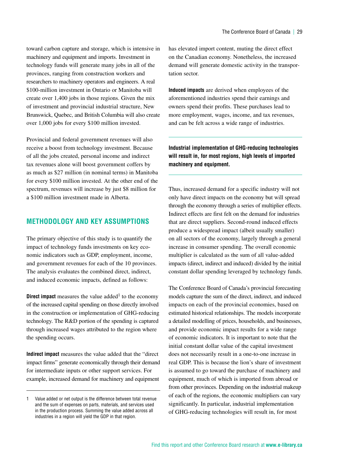<span id="page-34-0"></span>toward carbon capture and storage, which is intensive in machinery and equipment and imports. Investment in technology funds will generate many jobs in all of the provinces, ranging from construction workers and researchers to machinery operators and engineers. A real \$100-million investment in Ontario or Manitoba will create over 1,400 jobs in those regions. Given the mix of investment and provincial industrial structure, New Brunswick, Quebec, and British Columbia will also create over 1,000 jobs for every \$100 million invested.

Provincial and federal government revenues will also receive a boost from technology investment. Because of all the jobs created, personal income and indirect tax revenues alone will boost government coffers by as much as \$27 million (in nominal terms) in Manitoba for every \$100 million invested. At the other end of the spectrum, revenues will increase by just \$8 million for a \$100 million investment made in Alberta.

#### **Methodology and Key Assumptions**

The primary objective of this study is to quantify the impact of technology funds investments on key economic indicators such as GDP, employment, income, and government revenues for each of the 10 provinces. The analysis evaluates the combined direct, indirect, and induced economic impacts, defined as follows:

**Direct impact** measures the value added<sup>1</sup> to the economy of the increased capital spending on those directly involved in the construction or implementation of GHG-reducing technology. The R&D portion of the spending is captured through increased wages attributed to the region where the spending occurs.

**Indirect impact** measures the value added that the "direct impact firms" generate economically through their demand for intermediate inputs or other support services. For example, increased demand for machinery and equipment

has elevated import content, muting the direct effect on the Canadian economy. Nonetheless, the increased demand will generate domestic activity in the transportation sector.

**Induced impacts** are derived when employees of the aforementioned industries spend their earnings and owners spend their profits. These purchases lead to more employment, wages, income, and tax revenues, and can be felt across a wide range of industries.

**Industrial implementation of GHG-reducing technologies will result in, for most regions, high levels of imported machinery and equipment.**

Thus, increased demand for a specific industry will not only have direct impacts on the economy but will spread through the economy through a series of multiplier effects. Indirect effects are first felt on the demand for industries that are direct suppliers. Second-round induced effects produce a widespread impact (albeit usually smaller) on all sectors of the economy, largely through a general increase in consumer spending. The overall economic multiplier is calculated as the sum of all value-added impacts (direct, indirect and induced) divided by the initial constant dollar spending leveraged by technology funds.

The Conference Board of Canada's provincial forecasting models capture the sum of the direct, indirect, and induced impacts on each of the provincial economies, based on estimated historical relationships. The models incorporate a detailed modelling of prices, households, and businesses, and provide economic impact results for a wide range of economic indicators. It is important to note that the initial constant dollar value of the capital investment does not necessarily result in a one-to-one increase in real GDP. This is because the lion's share of investment is assumed to go toward the purchase of machinery and equipment, much of which is imported from abroad or from other provinces. Depending on the industrial makeup of each of the regions, the economic multipliers can vary significantly. In particular, industrial implementation of GHG-reducing technologies will result in, for most

<sup>1</sup> Value added or net output is the difference between total revenue and the sum of expenses on parts, materials, and services used in the production process. Summing the value added across all industries in a region will yield the GDP in that region.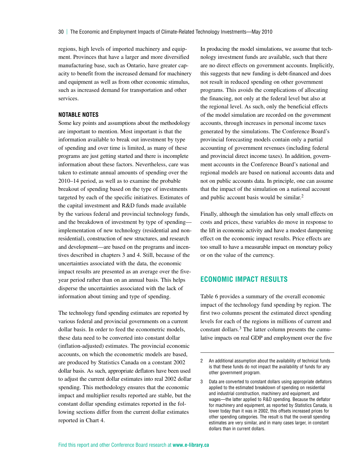<span id="page-35-0"></span>regions, high levels of imported machinery and equipment. Provinces that have a larger and more diversified manufacturing base, such as Ontario, have greater capacity to benefit from the increased demand for machinery and equipment as well as from other economic stimulus, such as increased demand for transportation and other services.

#### **NOTABLE NOTES**

Some key points and assumptions about the methodology are important to mention. Most important is that the information available to break out investment by type of spending and over time is limited, as many of these programs are just getting started and there is incomplete information about these factors. Nevertheless, care was taken to estimate annual amounts of spending over the 2010–14 period, as well as to examine the probable breakout of spending based on the type of investments targeted by each of the specific initiatives. Estimates of the capital investment and R&D funds made available by the various federal and provincial technology funds, and the breakdown of investment by type of spending implementation of new technology (residential and nonresidential), construction of new structures, and research and development—are based on the programs and incentives described in chapters 3 and 4. Still, because of the uncertainties associated with the data, the economic impact results are presented as an average over the fiveyear period rather than on an annual basis. This helps disperse the uncertainties associated with the lack of information about timing and type of spending.

The technology fund spending estimates are reported by various federal and provincial governments on a current dollar basis. In order to feed the econometric models, these data need to be converted into constant dollar (inflation-adjusted) estimates. The provincial economic accounts, on which the econometric models are based, are produced by Statistics Canada on a constant 2002 dollar basis. As such, appropriate deflators have been used to adjust the current dollar estimates into real 2002 dollar spending. This methodology ensures that the economic impact and multiplier results reported are stable, but the constant dollar spending estimates reported in the following sections differ from the current dollar estimates reported in Chart 4.

In producing the model simulations, we assume that technology investment funds are available, such that there are no direct effects on government accounts. Implicitly, this suggests that new funding is debt-financed and does not result in reduced spending on other government programs. This avoids the complications of allocating the financing, not only at the federal level but also at the regional level. As such, only the beneficial effects of the model simulation are recorded on the government accounts, through increases in personal income taxes generated by the simulations. The Conference Board's provincial forecasting models contain only a partial accounting of government revenues (including federal and provincial direct income taxes). In addition, government accounts in the Conference Board's national and regional models are based on national accounts data and not on public accounts data. In principle, one can assume that the impact of the simulation on a national account and public account basis would be similar. $<sup>2</sup>$ </sup>

Finally, although the simulation has only small effects on costs and prices, these variables do move in response to the lift in economic activity and have a modest dampening effect on the economic impact results. Price effects are too small to have a measurable impact on monetary policy or on the value of the currency.

#### **Economic Impact Results**

Table 6 provides a summary of the overall economic impact of the technology fund spending by region. The first two columns present the estimated direct spending levels for each of the regions in millions of current and constant dollars.3 The latter column presents the cumulative impacts on real GDP and employment over the five

<sup>2</sup> An additional assumption about the availability of technical funds is that these funds do not impact the availability of funds for any other government program.

<sup>3</sup> Data are converted to constant dollars using appropriate deflators applied to the estimated breakdown of spending on residential and industrial construction, machinery and equipment, and wages—the latter applied to R&D spending. Because the deflator for machinery and equipment, as reported by Statistics Canada, is lower today than it was in 2002, this offsets increased prices for other spending categories. The result is that the overall spending estimates are very similar, and in many cases larger, in constant dollars than in current dollars.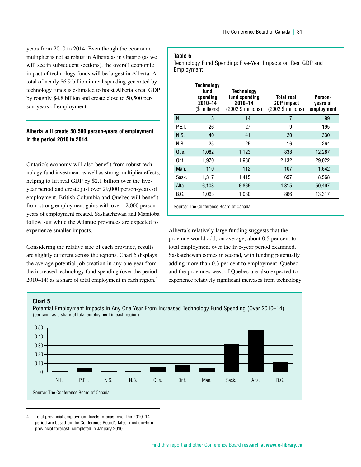years from 2010 to 2014. Even though the economic multiplier is not as robust in Alberta as in Ontario (as we will see in subsequent sections), the overall economic impact of technology funds will be largest in Alberta. A total of nearly \$6.9 billion in real spending generated by technology funds is estimated to boost Alberta's real GDP by roughly \$4.8 billion and create close to 50,500 person-years of employment.

#### **Alberta will create 50,500 person-years of employment in the period 2010 to 2014.**

Ontario's economy will also benefit from robust technology fund investment as well as strong multiplier effects, helping to lift real GDP by \$2.1 billion over the fiveyear period and create just over 29,000 person-years of employment. British Columbia and Quebec will benefit from strong employment gains with over 12,000 personyears of employment created. Saskatchewan and Manitoba follow suit while the Atlantic provinces are expected to experience smaller impacts.

Considering the relative size of each province, results are slightly different across the regions. Chart 5 displays the average potential job creation in any one year from the increased technology fund spending (over the period 2010–14) as a share of total employment in each region.<sup>4</sup>

#### **Table 6**

Technology Fund Spending: Five-Year Impacts on Real GDP and Employment

|        | <b>Technology</b><br>fund<br>spending<br>2010-14<br>(\$ millions) | Technology<br>fund spending<br>2010-14<br>(2002 \$ millions) | Total real<br><b>GDP</b> impact<br>(2002 \$ millions) | Person-<br>years of<br>employment |
|--------|-------------------------------------------------------------------|--------------------------------------------------------------|-------------------------------------------------------|-----------------------------------|
| N.L.   | 15                                                                | 14                                                           | 7                                                     | 99                                |
| P.E.I. | 26                                                                | 27                                                           | 9                                                     | 195                               |
| N.S.   | 40                                                                | 41                                                           | 20                                                    | 330                               |
| N.B.   | 25                                                                | 25                                                           | 16                                                    | 264                               |
| Que.   | 1,082                                                             | 1,123                                                        | 838                                                   | 12,287                            |
| Ont.   | 1.970                                                             | 1,986                                                        | 2,132                                                 | 29,022                            |
| Man.   | 110                                                               | 112                                                          | 107                                                   | 1,642                             |
| Sask.  | 1,317                                                             | 1,415                                                        | 697                                                   | 8,568                             |
| Alta.  | 6,103                                                             | 6,865                                                        | 4,815                                                 | 50,497                            |
| B.C.   | 1.063                                                             | 1,030                                                        | 866                                                   | 13.317                            |
|        |                                                                   |                                                              |                                                       |                                   |

Source: The Conference Board of Canada.

Alberta's relatively large funding suggests that the province would add, on average, about 0.5 per cent to total employment over the five-year period examined. Saskatchewan comes in second, with funding potentially adding more than 0.3 per cent to employment. Quebec and the provinces west of Quebec are also expected to experience relatively significant increases from technology

#### **Chart 5**



Potential Employment Impacts in Any One Year From Increased Technology Fund Spending (Over 2010–14)

4 Total provincial employment levels forecast over the 2010–14 period are based on the Conference Board's latest medium-term provincial forecast, completed in January 2010.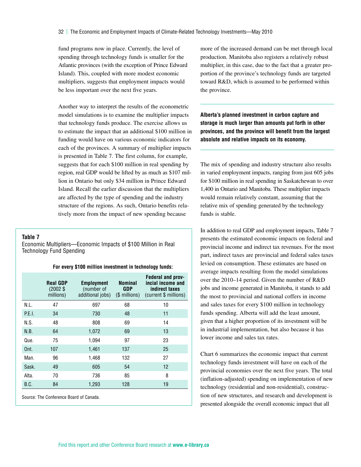fund programs now in place. Currently, the level of spending through technology funds is smaller for the Atlantic provinces (with the exception of Prince Edward Island). This, coupled with more modest economic multipliers, suggests that employment impacts would be less important over the next five years.

Another way to interpret the results of the econometric model simulations is to examine the multiplier impacts that technology funds produce. The exercise allows us to estimate the impact that an additional \$100 million in funding would have on various economic indicators for each of the provinces. A summary of multiplier impacts is presented in Table 7. The first column, for example, suggests that for each \$100 million in real spending by region, real GDP would be lifted by as much as \$107 million in Ontario but only \$34 million in Prince Edward Island. Recall the earlier discussion that the multipliers are affected by the type of spending and the industry structure of the regions. As such, Ontario benefits relatively more from the impact of new spending because

**Table 7**

Economic Multipliers—Economic Impacts of \$100 Million in Real Technology Fund Spending

#### **For every \$100 million investment in technology funds:**

|        | <b>Real GDP</b><br>$(2002$ \$<br>millions) | <b>Employment</b><br>(number of<br>additional jobs) | Nominal<br>GDP<br>(\$ millions) | <b>Federal and prov-</b><br>incial income and<br>indirect taxes<br>(current \$ millions) |
|--------|--------------------------------------------|-----------------------------------------------------|---------------------------------|------------------------------------------------------------------------------------------|
| N.L.   | 47                                         | 697                                                 | 68                              | 10                                                                                       |
| P.E.I. | 34                                         | 730                                                 | 48                              | 11                                                                                       |
| N.S.   | 48                                         | 808                                                 | 69                              | 14                                                                                       |
| N.B.   | 64                                         | 1,072                                               | 69                              | 13                                                                                       |
| Que.   | 75                                         | 1,094                                               | 97                              | 23                                                                                       |
| Ont.   | 107                                        | 1,461                                               | 137                             | 25                                                                                       |
| Man.   | 96                                         | 1,468                                               | 132                             | 27                                                                                       |
| Sask.  | 49                                         | 605                                                 | 54                              | 12                                                                                       |
| Alta.  | 70                                         | 736                                                 | 85                              | 8                                                                                        |
| B.C.   | 84                                         | 1,293                                               | 128                             | 19                                                                                       |
|        |                                            |                                                     |                                 |                                                                                          |

Source: The Conference Board of Canada.

more of the increased demand can be met through local production. Manitoba also registers a relatively robust multiplier, in this case, due to the fact that a greater proportion of the province's technology funds are targeted toward R&D, which is assumed to be performed within the province.

**Alberta's planned investment in carbon capture and storage is much larger than amounts put forth in other provinces, and the province will benefit from the largest absolute and relative impacts on its economy.**

The mix of spending and industry structure also results in varied employment impacts, ranging from just 605 jobs for \$100 million in real spending in Saskatchewan to over 1,400 in Ontario and Manitoba. These multiplier impacts would remain relatively constant, assuming that the relative mix of spending generated by the technology funds is stable.

In addition to real GDP and employment impacts, Table 7 presents the estimated economic impacts on federal and provincial income and indirect tax revenues. For the most part, indirect taxes are provincial and federal sales taxes levied on consumption. These estimates are based on average impacts resulting from the model simulations over the 2010–14 period. Given the number of R&D jobs and income generated in Manitoba, it stands to add the most to provincial and national coffers in income and sales taxes for every \$100 million in technology funds spending. Alberta will add the least amount, given that a higher proportion of its investment will be in industrial implementation, but also because it has lower income and sales tax rates.

Chart 6 summarizes the economic impact that current technology funds investment will have on each of the provincial economies over the next five years. The total (inflation-adjusted) spending on implementation of new technology (residential and non-residential), construction of new structures, and research and development is presented alongside the overall economic impact that all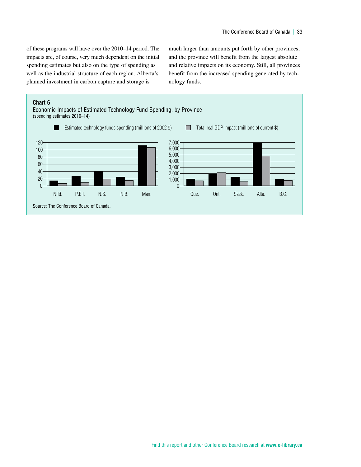of these programs will have over the 2010–14 period. The impacts are, of course, very much dependent on the initial spending estimates but also on the type of spending as well as the industrial structure of each region. Alberta's planned investment in carbon capture and storage is

much larger than amounts put forth by other provinces, and the province will benefit from the largest absolute and relative impacts on its economy. Still, all provinces benefit from the increased spending generated by technology funds.

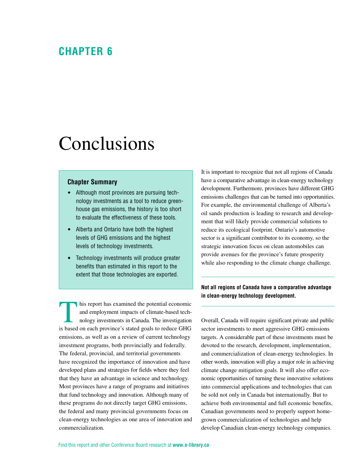### <span id="page-39-0"></span>**Chapter 6**

# Conclusions

#### **Chapter Summary**

- Although most provinces are pursuing technology investments as a tool to reduce greenhouse gas emissions, the history is too short to evaluate the effectiveness of these tools.
- Alberta and Ontario have both the highest levels of GHG emissions and the highest levels of technology investments.
- Technology investments will produce greater benefits than estimated in this report to the extent that those technologies are exported.

This report has examined the potential economic<br>and employment impacts of climate-based tech-<br>nology investments in Canada. The investigation and employment impacts of climate-based technology investments in Canada. The investigation is based on each province's stated goals to reduce GHG emissions, as well as on a review of current technology investment programs, both provincially and federally. The federal, provincial, and territorial governments have recognized the importance of innovation and have developed plans and strategies for fields where they feel that they have an advantage in science and technology. Most provinces have a range of programs and initiatives that fund technology and innovation. Although many of these programs do not directly target GHG emissions, the federal and many provincial governments focus on clean-energy technologies as one area of innovation and commercialization.

It is important to recognize that not all regions of Canada have a comparative advantage in clean-energy technology development. Furthermore, provinces have different GHG emissions challenges that can be turned into opportunities. For example, the environmental challenge of Alberta's oil sands production is leading to research and development that will likely provide commercial solutions to reduce its ecological footprint. Ontario's automotive sector is a significant contributor to its economy, so the strategic innovation focus on clean automobiles can provide avenues for the province's future prosperity while also responding to the climate change challenge.

#### **Not all regions of Canada have a comparative advantage in clean-energy technology development.**

Overall, Canada will require significant private and public sector investments to meet aggressive GHG emissions targets. A considerable part of these investments must be devoted to the research, development, implementation, and commercialization of clean-energy technologies. In other words, innovation will play a major role in achieving climate change mitigation goals. It will also offer economic opportunities of turning these innovative solutions into commercial applications and technologies that can be sold not only in Canada but internationally. But to achieve both environmental and full economic benefits, Canadian governments need to properly support homegrown commercialization of technologies and help develop Canadian clean-energy technology companies.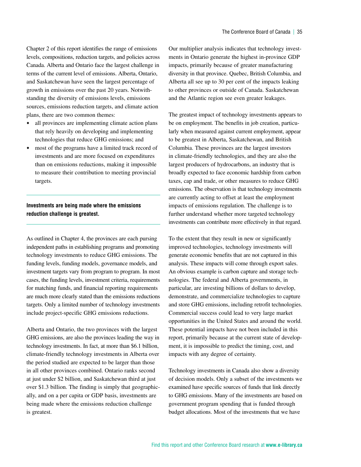Chapter 2 of this report identifies the range of emissions levels, compositions, reduction targets, and policies across Canada. Alberta and Ontario face the largest challenge in terms of the current level of emissions. Alberta, Ontario, and Saskatchewan have seen the largest percentage of growth in emissions over the past 20 years. Notwithstanding the diversity of emissions levels, emissions sources, emissions reduction targets, and climate action plans, there are two common themes:

- all provinces are implementing climate action plans that rely heavily on developing and implementing technologies that reduce GHG emissions; and
- most of the programs have a limited track record of investments and are more focused on expenditures than on emissions reductions, making it impossible to measure their contribution to meeting provincial targets.

#### **Investments are being made where the emissions reduction challenge is greatest.**

As outlined in Chapter 4, the provinces are each pursing independent paths in establishing programs and promoting technology investments to reduce GHG emissions. The funding levels, funding models, governance models, and investment targets vary from program to program. In most cases, the funding levels, investment criteria, requirements for matching funds, and financial reporting requirements are much more clearly stated than the emissions reductions targets. Only a limited number of technology investments include project-specific GHG emissions reductions.

Alberta and Ontario, the two provinces with the largest GHG emissions, are also the provinces leading the way in technology investments. In fact, at more than \$6.1 billion, climate-friendly technology investments in Alberta over the period studied are expected to be larger than those in all other provinces combined. Ontario ranks second at just under \$2 billion, and Saskatchewan third at just over \$1.3 billion. The finding is simply that geographically, and on a per capita or GDP basis, investments are being made where the emissions reduction challenge is greatest.

Our multiplier analysis indicates that technology investments in Ontario generate the highest in-province GDP impacts, primarily because of greater manufacturing diversity in that province. Quebec, British Columbia, and Alberta all see up to 30 per cent of the impacts leaking to other provinces or outside of Canada. Saskatchewan and the Atlantic region see even greater leakages.

The greatest impact of technology investments appears to be on employment. The benefits in job creation, particularly when measured against current employment, appear to be greatest in Alberta, Saskatchewan, and British Columbia. These provinces are the largest investors in climate-friendly technologies, and they are also the largest producers of hydrocarbons, an industry that is broadly expected to face economic hardship from carbon taxes, cap and trade, or other measures to reduce GHG emissions. The observation is that technology investments are currently acting to offset at least the employment impacts of emissions regulation. The challenge is to further understand whether more targeted technology investments can contribute more effectively in that regard.

To the extent that they result in new or significantly improved technologies, technology investments will generate economic benefits that are not captured in this analysis. These impacts will come through export sales. An obvious example is carbon capture and storage technologies. The federal and Alberta governments, in particular, are investing billions of dollars to develop, demonstrate, and commercialize technologies to capture and store GHG emissions, including retrofit technologies. Commercial success could lead to very large market opportunities in the United States and around the world. These potential impacts have not been included in this report, primarily because at the current state of development, it is impossible to predict the timing, cost, and impacts with any degree of certainty.

Technology investments in Canada also show a diversity of decision models. Only a subset of the investments we examined have specific sources of funds that link directly to GHG emissions. Many of the investments are based on government program spending that is funded through budget allocations. Most of the investments that we have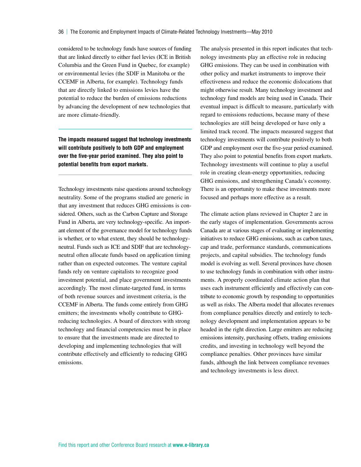considered to be technology funds have sources of funding that are linked directly to either fuel levies (ICE in British Columbia and the Green Fund in Quebec, for example) or environmental levies (the SDIF in Manitoba or the CCEMF in Alberta, for example). Technology funds that are directly linked to emissions levies have the potential to reduce the burden of emissions reductions by advancing the development of new technologies that are more climate-friendly.

**The impacts measured suggest that technology investments will contribute positively to both GDP and employment over the five-year period examined. They also point to potential benefits from export markets.**

Technology investments raise questions around technology neutrality. Some of the programs studied are generic in that any investment that reduces GHG emissions is considered. Others, such as the Carbon Capture and Storage Fund in Alberta, are very technology-specific. An important element of the governance model for technology funds is whether, or to what extent, they should be technologyneutral. Funds such as ICE and SDIF that are technologyneutral often allocate funds based on application timing rather than on expected outcomes. The venture capital funds rely on venture capitalists to recognize good investment potential, and place government investments accordingly. The most climate-targeted fund, in terms of both revenue sources and investment criteria, is the CCEMF in Alberta. The funds come entirely from GHG emitters; the investments wholly contribute to GHGreducing technologies. A board of directors with strong technology and financial competencies must be in place to ensure that the investments made are directed to developing and implementing technologies that will contribute effectively and efficiently to reducing GHG emissions.

The analysis presented in this report indicates that technology investments play an effective role in reducing GHG emissions. They can be used in combination with other policy and market instruments to improve their effectiveness and reduce the economic dislocations that might otherwise result. Many technology investment and technology fund models are being used in Canada. Their eventual impact is difficult to measure, particularly with regard to emissions reductions, because many of these technologies are still being developed or have only a limited track record. The impacts measured suggest that technology investments will contribute positively to both GDP and employment over the five-year period examined. They also point to potential benefits from export markets. Technology investments will continue to play a useful role in creating clean-energy opportunities, reducing GHG emissions, and strengthening Canada's economy. There is an opportunity to make these investments more focused and perhaps more effective as a result.

The climate action plans reviewed in Chapter 2 are in the early stages of implementation. Governments across Canada are at various stages of evaluating or implementing initiatives to reduce GHG emissions, such as carbon taxes, cap and trade, performance standards, communications projects, and capital subsidies. The technology funds model is evolving as well. Several provinces have chosen to use technology funds in combination with other instruments. A properly coordinated climate action plan that uses each instrument efficiently and effectively can contribute to economic growth by responding to opportunities as well as risks. The Alberta model that allocates revenues from compliance penalties directly and entirely to technology development and implementation appears to be headed in the right direction. Large emitters are reducing emissions intensity, purchasing offsets, trading emissions credits, and investing in technology well beyond the compliance penalties. Other provinces have similar funds, although the link between compliance revenues and technology investments is less direct.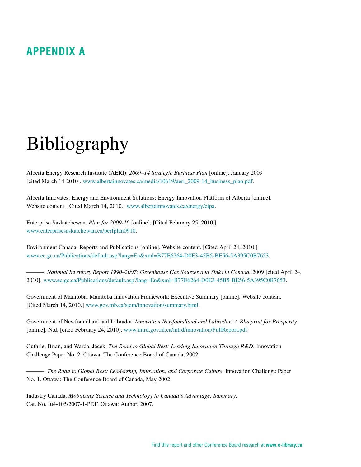# <span id="page-42-0"></span>**Appendix A**

# Bibliography

Alberta Energy Research Institute (AERI). *2009–14 Strategic Business Plan* [online]. January 2009 [cited March 14 2010]. www.albertainnovates.ca/media/10619/aeri\_2009-14\_business\_plan.pdf.

Alberta Innovates. Energy and Environment Solutions: Energy Innovation Platform of Alberta [online]. Website content. [Cited March 14, 2010.] www.albertainnovates.ca/energy/eipa.

Enterprise Saskatchewan. *Plan for 2009-10* [online]. [Cited February 25, 2010.] www.enterprisesaskatchewan.ca/perfplan0910.

Environment Canada. Reports and Publications [online]. Website content. [Cited April 24, 2010.] www.ec.gc.ca/Publications/default.asp?lang=En&xml=B77E6264-D0E3-45B5-BE56-5A395C0B7653.

———. *National Inventory Report 1990–2007: Greenhouse Gas Sources and Sinks in Canada.* 2009 [cited April 24, 2010]. www.ec.gc.ca/Publications/default.asp?lang=En&xml=B77E6264-D0E3-45B5-BE56-5A395C0B7653.

Government of Manitoba. Manitoba Innovation Framework: Executive Summary [online]. Website content. [Cited March 14, 2010.] www.gov.mb.ca/stem/innovation/summary.html.

Government of Newfoundland and Labrador. *Innovation Newfoundland and Labrador: A Blueprint for Prosperity*  [online]. N.d. [cited February 24, 2010]. www.intrd.gov.nl.ca/intrd/innovation/FullReport.pdf.

Guthrie, Brian, and Warda, Jacek. *The Road to Global Best: Leading Innovation Through R&D*. Innovation Challenge Paper No. 2. Ottawa: The Conference Board of Canada, 2002.

———. *The Road to Global Best: Leadership, Innovation, and Corporate Culture*. Innovation Challenge Paper No. 1. Ottawa: The Conference Board of Canada, May 2002.

Industry Canada. *Mobilizing Science and Technology to Canada's Advantage: Summary*. Cat. No. Iu4-105/2007-1-PDF. Ottawa: Author, 2007.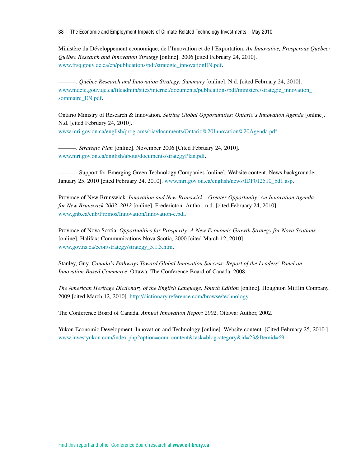38 | The Economic and Employment Impacts of Climate-Related Technology Investments—May 2010

Ministère du Développement économique, de l'Innovation et de l'Exportation. *An Innovative, Prosperous Québec: Québec Research and Innovation Strategy* [online]. 2006 [cited February 24, 2010]. www.frsq.gouv.qc.ca/en/publications/pdf/strategie\_innovationEN.pdf.

———. *Québec Research and Innovation Strategy: Summary* [online]. N.d. [cited February 24, 2010]. www.mdeie.gouv.qc.ca/fileadmin/sites/internet/documents/publications/pdf/ministere/strategie\_innovation\_ sommaire\_EN.pdf.

Ontario Ministry of Research & Innovation. *Seizing Global Opportunities: Ontario's Innovation Agenda* [online]. N.d. [cited February 24, 2010].

www.mri.gov.on.ca/english/programs/oia/documents/Ontario%20Innovation%20Agenda.pdf.

———. *Strategic Plan* [online]. November 2006 [Cited February 24, 2010]. www.mri.gov.on.ca/english/about/documents/strategyPlan.pdf.

———. Support for Emerging Green Technology Companies [online]. Website content. News backgrounder. January 25, 2010 [cited February 24, 2010]. www.mri.gov.on.ca/english/news/IDF012510\_bd1.asp.

Province of New Brunswick. *Innovation and New Brunswick—Greater Opportunity: An Innovation Agenda for New Brunswick 2002–2012* [online]. Fredericton: Author, n.d. [cited February 24, 2010]. www.gnb.ca/cnb/Promos/Innovation/Innovation-e.pdf.

Province of Nova Scotia. *Opportunities for Prosperity: A New Economic Growth Strategy for Nova Scotians*  [online]. Halifax: Communications Nova Scotia, 2000 [cited March 12, 2010]. www.gov.ns.ca/econ/strategy/strategy\_5.1.3.htm.

Stanley, Guy. *Canada's Pathways Toward Global Innovation Success: Report of the Leaders' Panel on Innovation-Based Commerce*. Ottawa: The Conference Board of Canada, 2008.

*The American Heritage Dictionary of the English Language, Fourth Edition* [online]. Houghton Mifflin Company. 2009 [cited March 12, 2010]. http://dictionary.reference.com/browse/technology.

The Conference Board of Canada. *Annual Innovation Report 2002*. Ottawa: Author, 2002.

Yukon Economic Development. Innovation and Technology [online]. Website content. [Cited February 25, 2010.] www.investyukon.com/index.php?option=com\_content&task=blogcategory&id=23&Itemid=69.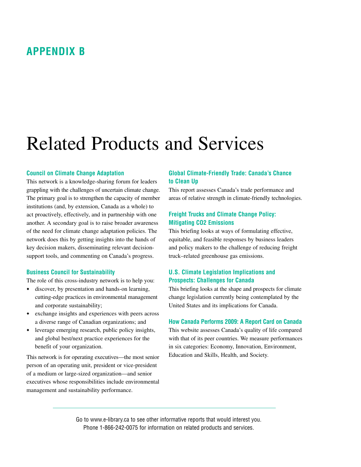### <span id="page-44-0"></span>**Appendix B**

# Related Products and Services

#### **Council on Climate Change Adaptation**

This network is a knowledge-sharing forum for leaders grappling with the challenges of uncertain climate change. The primary goal is to strengthen the capacity of member institutions (and, by extension, Canada as a whole) to act proactively, effectively, and in partnership with one another. A secondary goal is to raise broader awareness of the need for climate change adaptation policies. The network does this by getting insights into the hands of key decision makers, disseminating relevant decisionsupport tools, and commenting on Canada's progress.

#### **Business Council for Sustainability**

The role of this cross-industry network is to help you:

- discover, by presentation and hands-on learning, cutting-edge practices in environmental management and corporate sustainability;
- exchange insights and experiences with peers across a diverse range of Canadian organizations; and
- leverage emerging research, public policy insights, and global best/next practice experiences for the benefit of your organization.

This network is for operating executives—the most senior person of an operating unit, president or vice-president of a medium or large-sized organization—and senior executives whose responsibilities include environmental management and sustainability performance.

#### **Global Climate-Friendly Trade: Canada's Chance to Clean Up**

This report assesses Canada's trade performance and areas of relative strength in climate-friendly technologies.

#### **Freight Trucks and Climate Change Policy: Mitigating CO2 Emissions**

This briefing looks at ways of formulating effective, equitable, and feasible responses by business leaders and policy makers to the challenge of reducing freight truck–related greenhouse gas emissions.

#### **U.S. Climate Legislation Implications and Prospects: Challenges for Canada**

This briefing looks at the shape and prospects for climate change legislation currently being contemplated by the United States and its implications for Canada.

#### **How Canada Performs 2009: A Report Card on Canada**

This website assesses Canada's quality of life compared with that of its peer countries. We measure performances in six categories: Economy, Innovation, Environment, Education and Skills, Health, and Society.

Go to www.e-library.ca to see other informative reports that would interest you. Phone 1-866-242-0075 for information on related products and services.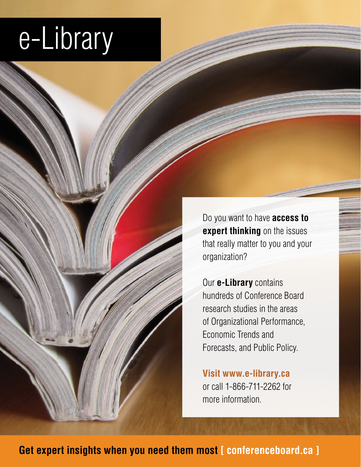# e-Library

Do you want to have **access to expert thinking** on the issues that really matter to you and your organization?

Our **e-Library** contains hundreds of Conference Board research studies in the areas of Organizational Performance, Economic Trends and Forecasts, and Public Policy.

**Visit www.e-library.ca** or call 1-866-711-2262 for more information.

**Get expert insights when you need them most [ conferenceboard.ca ]**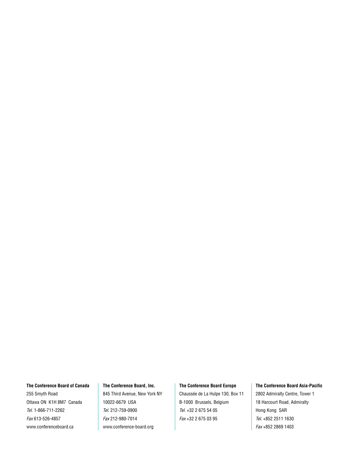#### **The Conference Board of Canada**

255 Smyth Road Ottawa ON K1H 8M7 Canada *Tel.* 1-866-711-2262 *Fax* 613-526-4857 www.conferenceboard.ca

#### **The Conference Board, Inc.**

845 Third Avenue, New York NY 10022-6679 USA *Tel.* 212-759-0900 *Fax* 212-980-7014 www.conference-board.org

#### **The Conference Board Europe**

Chaussée de La Hulpe 130, Box 11 B-1000 Brussels, Belgium *Tel.* +32 2 675 54 05 *Fax* +32 2 675 03 95

#### **The Conference Board Asia-Pacific**

2802 Admiralty Centre, Tower 1 18 Harcourt Road, Admiralty Hong Kong SAR *Tel.* +852 2511 1630 *Fax* +852 2869 1403